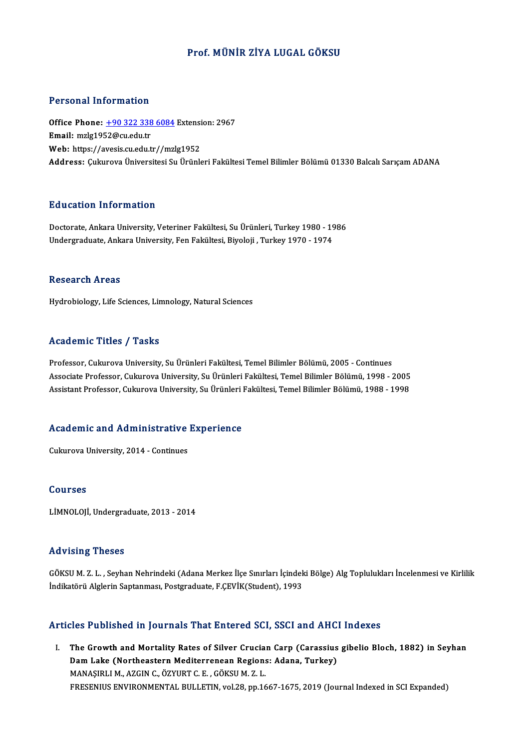### Prof.MÜNİR ZİYA LUGAL GÖKSU

#### Personal Information

Personal Information<br>Office Phone: <u>+90 322 338 6084</u> Extension: 2967<br>Email: mrls1952@cu.edu.tr Processive information<br>Office Phone: <u>+90 322 338</u><br>Email: mzlg1952@cu.edu.tr Office Phone: <u>+90 322 338 6084</u> Extensi<br>Email: mzlg1952@cu.edu.tr<br>Web: https://a[vesis.cu.edu.tr//mz](tel:+90 322 338 6084)lg1952 **Email:** mzlg1952@cu.edu.tr<br>Web: https://avesis.cu.edu.tr//mzlg1952<br>Address: Cukurova Üniversitesi Su Ürünleri Fakültesi Temel Bilimler Bölümü 01330 Balcalı Sarıcam ADANA

#### Education Information

Education Information<br>Doctorate, Ankara University, Veteriner Fakültesi, Su Ürünleri, Turkey 1980 - 1986<br>Undergraduate Ankara University, Fen Fakültesi, Bivaleji, Turkey 1970, 1974 2u usutsen minsi intutsen<br>Doctorate, Ankara University, Veteriner Fakültesi, Su Ürünleri, Turkey 1980 - 19<br>Undergraduate, Ankara University, Fen Fakültesi, Biyoloji , Turkey 1970 - 1974 Undergraduate, Ankara University, Fen Fakültesi, Biyoloji , Turkey 1970 - 1974<br>Research Areas

Hydrobiology, Life Sciences, Limnology, Natural Sciences

#### Academic Titles / Tasks

Academic Titles / Tasks<br>Professor, Cukurova University, Su Ürünleri Fakültesi, Temel Bilimler Bölümü, 2005 - Continues<br>Assesiate Brofessor, Culaureva University, Su Ürünleri Fakültesi, Temel Bilimler Bölümü, 1998 Associate Artice 7 Austis<br>Professor, Cukurova University, Su Ürünleri Fakültesi, Temel Bilimler Bölümü, 2005 - Continues<br>Associate Professor, Cukurova University, Su Ürünleri Fakültesi, Temel Bilimler Bölümü, 1998 - 2005<br>A Professor, Cukurova University, Su Ürünleri Fakültesi, Temel Bilimler Bölümü, 2005 - Continues<br>Associate Professor, Cukurova University, Su Ürünleri Fakültesi, Temel Bilimler Bölümü, 1998 - 2005<br>Assistant Professor, Cukuro

# Assistant Professor, Cukurova University, Su Urunieri<br>Academic and Administrative Experience **Academic and Administrative<br>Cukurova University, 2014 - Continues**

Cukurova University, 2014 - Continues<br>Courses

LİMNOLOJİ, Undergraduate, 2013 - 2014

#### Advising Theses

Advising Theses<br>GÖKSU M. Z. L. , Seyhan Nehrindeki (Adana Merkez İlçe Sınırları İçindeki Bölge) Alg Toplulukları İncelenmesi ve Kirlilik<br>İndilatörü Alglerin Santanması, Postanadusta, E CEVİK(Student), 1992 İla Vising Tirosos<br>GÖKSU M. Z. L. , Seyhan Nehrindeki (Adana Merkez İlçe Sınırları İçindek<br>İndikatörü Alglerin Saptanması, Postgraduate, F.ÇEVİK(Student), 1993

# ndikatoru Alglerin Saptanmasi, Postgraduate, F.ÇEVIK(Student), 1993<br>Articles Published in Journals That Entered SCI, SSCI and AHCI Indexes

rticles Published in Journals That Entered SCI, SSCI and AHCI Indexes<br>I. The Growth and Mortality Rates of Silver Crucian Carp (Carassius gibelio Bloch, 1882) in Seyhan<br>Dam Lake (Northeastern Mediterranean Begians: Adama T The Growth and Mortality Rates of Silver Crucian Carp (Carassius<br>Dam Lake (Northeastern Mediterrenean Regions: Adana, Turkey)<br>MANASIBLIM, AZCIN G. ÖZVURT G.E. GÖKSUM Z.I. The Growth and Mortality Rates of Silver Crucia:<br>Dam Lake (Northeastern Mediterrenean Regions<br>MANAŞIRLI M., AZGIN C., ÖZYURT C. E. , GÖKSU M. Z. L.<br>ERESENIUS ENVIRONMENTAL BULLETIN vol 29 nn 16 MANAŞIRLI M., AZGIN C., ÖZYURT C. E. , GÖKSU M. Z. L.<br>FRESENIUS ENVIRONMENTAL BULLETIN, vol.28, pp.1667-1675, 2019 (Journal Indexed in SCI Expanded)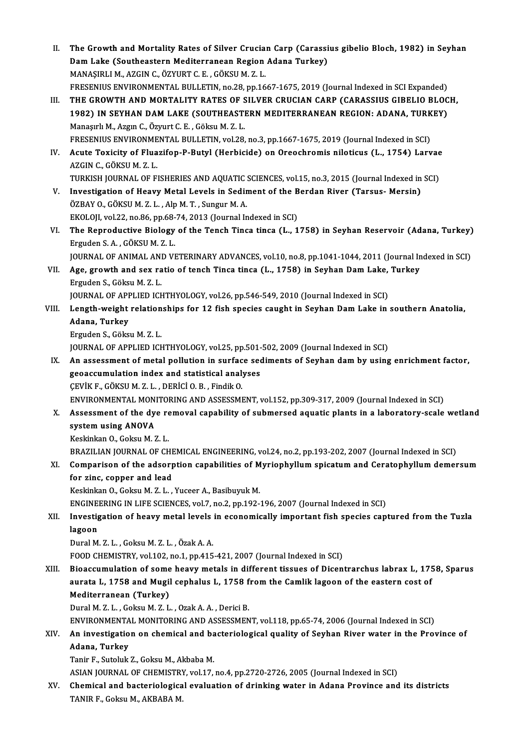II. The Growth and Mortality Rates of Silver Crucian Carp (Carassius gibelio Bloch, 1982) in Seyhan<br>Dam Laks (Southeastern Mediterranean Begian Adana Turkey) The Growth and Mortality Rates of Silver Crucian Carp (Carassi<br>Dam Lake (Southeastern Mediterranean Region Adana Turkey)<br>MANASIRLLM, AZCIN G. ÖZVURT G.E. GÖKSU M.Z.I The Growth and Mortality Rates of Silver Crucia:<br>Dam Lake (Southeastern Mediterranean Region<br>MANAŞIRLI M., AZGIN C., ÖZYURT C. E. , GÖKSU M. Z. L.<br>ERESENIUS ENVIRONMENTAL BULLETIN Pe 28 pp.16 Dam Lake (Southeastern Mediterranean Region Adana Turkey)<br>MANAŞIRLI M., AZGIN C., ÖZYURT C. E. , GÖKSU M. Z. L.<br>FRESENIUS ENVIRONMENTAL BULLETIN, no.28, pp.1667-1675, 2019 (Journal Indexed in SCI Expanded) MANAŞIRLI M., AZGIN C., ÖZYURT C. E. , GÖKSU M. Z. L.<br>FRESENIUS ENVIRONMENTAL BULLETIN, no.28, pp.1667-1675, 2019 (Journal Indexed in SCI Expanded)<br>III. THE GROWTH AND MORTALITY RATES OF SILVER CRUCIAN CARP (CARASSIUS GIBE FRESENIUS ENVIRONMENTAL BULLETIN, no.28, pp.1667-1675, 2019 (Journal Indexed in SCI Expanded)<br>THE GROWTH AND MORTALITY RATES OF SILVER CRUCIAN CARP (CARASSIUS GIBELIO BLOC<br>1982) IN SEYHAN DAM LAKE (SOUTHEASTERN MEDITERRANE Manaşırlı M., Azgın C., Özyurt C. E. , Göksu M. Z. L.<br>FRESENIUS ENVIRONMENTAL BULLETIN, vol.28, no.3, pp.1667-1675, 2019 (Journal Indexed in SCI) 1982) IN SEYHAN DAM LAKE (SOUTHEASTERN MEDITERRANEAN REGION: ADANA, TURKEY) Manaşırlı M., Azgın C., Özyurt C. E. , Göksu M. Z. L.<br>FRESENIUS ENVIRONMENTAL BULLETIN, vol.28, no.3, pp.1667-1675, 2019 (Journal Indexed in SCI)<br>IV. Acute Toxicity of Fluazifop-P-Butyl (Herbicide) on Oreochromis nilot FRESENIUS ENVIRONME<br>Acute Toxicity of Flua<br>AZGIN C., GÖKSU M. Z. L.<br>TURKISH JOURNAL OF FL Acute Toxicity of Fluazifop-P-Butyl (Herbicide) on Oreochromis niloticus (L., 1754) Larvae<br>AZGIN C., GÖKSU M. Z. L.<br>TURKISH JOURNAL OF FISHERIES AND AQUATIC SCIENCES, vol.15, no.3, 2015 (Journal Indexed in SCI)<br>Investigati AZGIN C., GÖKSU M. Z. L.<br>TURKISH JOURNAL OF FISHERIES AND AQUATIC SCIENCES, vol.15, no.3, 2015 (Journal Indexed in SCI)<br>V. Investigation of Heavy Metal Levels in Sediment of the Berdan River (Tarsus- Mersin) ÖZBAY O., GÖKSU M. Z. L., Alp M. T., Sungur M. A. Investigation of Heavy Metal Levels in Sediment of the B<br>ÖZBAY O., GÖKSU M. Z. L. , Alp M. T. , Sungur M. A.<br>EKOLOJI, vol.22, no.86, pp.68-74, 2013 (Journal Indexed in SCI)<br>The Benneductive Biology of the Tench Tines tines ÖZBAY O., GÖKSU M. Z. L. , Alp M. T. , Sungur M. A.<br>EKOLOJI, vol.22, no.86, pp.68-74, 2013 (Journal Indexed in SCI)<br>VI. The Reproductive Biology of the Tench Tinca tinca (L., 1758) in Seyhan Reservoir (Adana, Turkey)<br>Frand EKOLOJI, vol.22, no.86, pp.68-<br>The Reproductive Biology<br>Erguden S. A. , GÖKSU M. Z. L.<br>JOUPNAL OF ANIMAL AND VI The Reproductive Biology of the Tench Tinca tinca (L., 1758) in Seyhan Reservoir (Adana, Turkey)<br>Erguden S. A. , GÖKSU M. Z. L.<br>JOURNAL OF ANIMAL AND VETERINARY ADVANCES, vol.10, no.8, pp.1041-1044, 2011 (Journal Indexed i Erguden S. A. , GÖKSU M. Z. L.<br>JOURNAL OF ANIMAL AND VETERINARY ADVANCES, vol.10, no.8, pp.1041-1044, 2011 (Journal In<br>VII. Age, growth and sex ratio of tench Tinca tinca (L., 1758) in Seyhan Dam Lake, Turkey **JOURNAL OF ANIMAL ANI<br>Age, growth and sex ra<br>Erguden S., Göksu M. Z. L.<br>JOUPMAL OF APPLIED ICL** Age, growth and sex ratio of tench Tinca tinca (L., 1758) in Seyhan Dam Lake,<br>Erguden S., Göksu M. Z. L.<br>JOURNAL OF APPLIED ICHTHYOLOGY, vol.26, pp.546-549, 2010 (Journal Indexed in SCI)<br>Langth weight pelationships for 12 Erguden S., Göksu M. Z. L.<br>JOURNAL OF APPLIED ICHTHYOLOGY, vol.26, pp.546-549, 2010 (Journal Indexed in SCI)<br>VIII. Length-weight relationships for 12 fish species caught in Seyhan Dam Lake in southern Anatolia,<br>Adana, Turk JOURNAL OF APPLIED ICHTHYOLOGY, vol.26, pp.546-549, 2010 (Journal Indexed in SCI) ErgudenS.,GöksuM.Z.L. Adana, Tur<mark>key</mark><br>Erguden S., Göksu M. Z. L.<br>JOURNAL OF APPLIED ICHTHYOLOGY, vol.25, pp.501-502, 2009 (Journal Indexed in SCI)<br>An assessment of metal pollution in surface sediments of Seyban dam by using Erguden S., Göksu M. Z. L.<br>JOURNAL OF APPLIED ICHTHYOLOGY, vol.25, pp.501-502, 2009 (Journal Indexed in SCI)<br>IX. An assessment of metal pollution in surface sediments of Seyhan dam by using enrichment factor,<br>Seessay mulat JOURNAL OF APPLIED ICHTHYOLOGY, vol.25, pp.501-<br>An assessment of metal pollution in surface seq<br>geoaccumulation index and statistical analyses<br>CEVIV E. CÖVSU M.7. L. DEPICLO B. Findik O. An assessment of metal pollution in surface<br>geoaccumulation index and statistical analy<br>CEVİK F., GÖKSU M. Z. L. , DERİCİ O. B. , Findik O.<br>ENVIRONMENTAL MONITORING AND ASSESSMI geoaccumulation index and statistical analyses<br>ÇEVİK F., GÖKSU M. Z. L. , DERİCİ O. B. , Findik O.<br>ENVIRONMENTAL MONITORING AND ASSESSMENT, vol.152, pp.309-317, 2009 (Journal Indexed in SCI) CEVIK F., GÖKSU M. Z. L. , DERICI O. B. , Findik O.<br>ENVIRONMENTAL MONITORING AND ASSESSMENT, vol.152, pp.309-317, 2009 (Journal Indexed in SCI)<br>X. Assessment of the dye removal capability of submersed aquatic plants in a l ENVIRONMENTAL MON<br>Assessment of the dy<br>system using ANOVA<br>Keekinken O. Celsu M.7 Assessment of the dye re<br>system using ANOVA<br>Keskinkan O., Goksu M. Z. L.<br>PRAZU JAN JOURNAL OF CH system using ANOVA<br>Keskinkan 0., Goksu M. Z. L.<br>BRAZILIAN JOURNAL OF CHEMICAL ENGINEERING, vol.24, no.2, pp.193-202, 2007 (Journal Indexed in SCI)<br>Comparison of the adsorption canabilities of Muriaphyllum apisatum and Cons Keskinkan O., Goksu M. Z. L.<br>BRAZILIAN JOURNAL OF CHEMICAL ENGINEERING, vol.24, no.2, pp.193-202, 2007 (Journal Indexed in SCI)<br>XI. Comparison of the adsorption capabilities of Myriophyllum spicatum and Ceratophyllum demer BRAZILIAN JOURNAL OF CHE<br>Comparison of the adsorp<br>for zinc, copper and lead Comparison of the adsorption capabilities of M<br>for zinc, copper and lead<br>Keskinkan O., Goksu M. Z. L. , Yuceer A., Basibuyuk M.<br>ENCINEEPINC IN LIEE SCIENCES .vol 7, no 2, nn 102. for zinc, copper and lead<br>Keskinkan O., Goksu M. Z. L. , Yuceer A., Basibuyuk M.<br>ENGINEERING IN LIFE SCIENCES, vol.7, no.2, pp.192-196, 2007 (Journal Indexed in SCI)<br>Investigation of boewy matel levels in economically impo Keskinkan O., Goksu M. Z. L. , Yuceer A., Basibuyuk M.<br>ENGINEERING IN LIFE SCIENCES, vol.7, no.2, pp.192-196, 2007 (Journal Indexed in SCI)<br>XII. Investigation of heavy metal levels in economically important fish species ca ENGINE<br><mark>Investig</mark><br>lagoon<br><sup>Dural M</sup> Investigation of heavy metal levels<br>lagoon<br>Dural M. Z. L. , Goksu M. Z. L. , Özak A. A.<br>FOOD CHEMISTPY vel 102. no 1. nn 415 l**agoon**<br>Dural M. Z. L. , Goksu M. Z. L. , Özak A. A.<br>FOOD CHEMISTRY, vol.102, no.1, pp.415-421, 2007 (Journal Indexed in SCI) Dural M. Z. L. , Goksu M. Z. L. , Özak A. A.<br>FOOD CHEMISTRY, vol.102, no.1, pp.415-421, 2007 (Journal Indexed in SCI)<br>XIII. Bioaccumulation of some heavy metals in different tissues of Dicentrarchus labrax L, 1758, Sparus<br> FOOD CHEMISTRY, vol.102, no.1, pp.415-421, 2007 (Journal Indexed in SCI)<br>Bioaccumulation of some heavy metals in different tissues of Dicentrarchus labrax L, 17!<br>aurata L, 1758 and Mugil cephalus L, 1758 from the Camlik la Bioaccumulation of some<br>aurata L, 1758 and Mugil<br>Mediterranean (Turkey)<br><sup>Dural M, 7, L. Colsu M, 7, L</sup>. aurata L, 1758 and Mugil cephalus L, 1758 from the Camlik lagoon of the eastern cost of Mediterranean (Turkey)<br>Mediterranean (Turkey)<br>Dural M. Z. L. , Goksu M. Z. L. , Ozak A. A. , Derici B. Mediterranean (Turkey)<br>Dural M. Z. L. , Goksu M. Z. L. , Ozak A. A. , Derici B.<br>ENVIRONMENTAL MONITORING AND ASSESSMENT, vol.118, pp.65-74, 2006 (Journal Indexed in SCI)<br>An investigation on chamical and hastarialogical qua Dural M. Z. L. , Goksu M. Z. L. , Ozak A. A. , Derici B.<br>ENVIRONMENTAL MONITORING AND ASSESSMENT, vol.118, pp.65-74, 2006 (Journal Indexed in SCI)<br>XIV. An investigation on chemical and bacteriological quality of Seyhan ENVIRONMENTA<br>An investigatio<br>Adana, Turkey<br>Tanir E. Suteluk An investigation on chemical and ba<br>Adana, Turkey<br>Tanir F., Sutoluk Z., Goksu M., Akbaba M.<br>ASIAN JOURNAL OF CHEMISTRY vol.17 Adana, Turkey<br>Tanir F., Sutoluk Z., Goksu M., Akbaba M.<br>ASIAN JOURNAL OF CHEMISTRY, vol.17, no.4, pp.2720-2726, 2005 (Journal Indexed in SCI) Tanir F., Sutoluk Z., Goksu M., Akbaba M.<br>ASIAN JOURNAL OF CHEMISTRY, vol.17, no.4, pp.2720-2726, 2005 (Journal Indexed in SCI)<br>XV. Chemical and bacteriological evaluation of drinking water in Adana Province and its distri ASIAN JOURNAL OF CHEMISTR!<br><mark>Chemical and bacteriologica</mark><br>TANIR F., Goksu M., AKBABA M.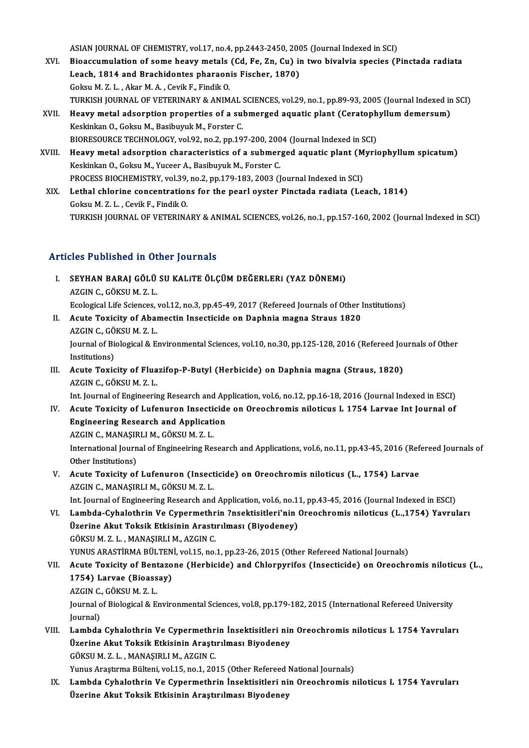ASIAN JOURNAL OF CHEMISTRY, vol.17, no.4, pp.2443-2450, 2005 (Journal Indexed in SCI)<br>Piecesumulation of some beaux motels (Cd. Eq. 7n. Cu) in two bivoluje enceies (B

- XVI. Bioaccumulation of some heavymetals (Cd, Fe, Zn, Cu) in two bivalvia species (Pinctada radiata ASIAN JOURNAL OF CHEMISTRY, vol.17, no.4, pp.2443-2450, 200<br>Bioaccumulation of some heavy metals (Cd, Fe, Zn, Cu) in<br>Leach, 1814 and Brachidontes pharaonis Fischer, 1870)<br>Colmy M.7, L., Almy M.A., Coult E. Findit O. Leach, 1814 and Brachidontes pharaonis Fischer, 1870)<br>Goksu M. Z. L., Akar M. A., Cevik F., Findik O. TURKISH JOURNAL OF VETERINARY & ANIMAL SCIENCES, vol.29, no.1, pp.89-93, 2005 (Journal Indexed in SCI) Goksu M. Z. L. , Akar M. A. , Cevik F., Findik O.<br>TURKISH JOURNAL OF VETERINARY & ANIMAL SCIENCES, vol.29, no.1, pp.89-93, 2005 (Journal Indexed in<br>XVII. Heavy metal adsorption properties of a submerged aquatic plant (Cera
- Keskinkan O., Goksu M., Basibuyuk M., Forster C.<br>BIORESOURCE TECHNOLOGY, vol.92, no.2, pp.197-200, 2004 (Journal Indexed in SCI) Heavy metal adsorption properties of a submerged aquatic plant (Ceratoph<br>Keskinkan O., Goksu M., Basibuyuk M., Forster C.<br>BIORESOURCE TECHNOLOGY, vol.92, no.2, pp.197-200, 2004 (Journal Indexed in SCI)<br>Heavy metal adsorpti Keskinkan O., Goksu M., Basibuyuk M., Forster C.<br>BIORESOURCE TECHNOLOGY, vol.92, no.2, pp.197-200, 2004 (Journal Indexed in SCI)<br>XVIII. Heavy metal adsorption characteristics of a submerged aquatic plant (Myriophyllum spic
- BIORESOURCE TECHNOLOGY, vol.92, no.2, pp.197-200, 200<br>Heavy metal adsorption characteristics of a submer<br>Keskinkan O., Goksu M., Yuceer A., Basibuyuk M., Forster C.<br>PROCESS BIOCHEMISTRY vol.39, no.3, np.179,193,2003 (I Heavy metal adsorption characteristics of a submerged aquatic plant (M<br>Keskinkan O., Goksu M., Yuceer A., Basibuyuk M., Forster C.<br>PROCESS BIOCHEMISTRY, vol.39, no.2, pp.179-183, 2003 (Journal Indexed in SCI)<br>Lethel shlori Keskinkan O., Goksu M., Yuceer A., Basibuyuk M., Forster C.<br>PROCESS BIOCHEMISTRY, vol.39, no.2, pp.179-183, 2003 (Journal Indexed in SCI)<br>XIX. Lethal chlorine concentrations for the pearl oyster Pinctada radiata (Leach, 18 PROCESS BIOCHEMISTRY, vol.39, no.2, pp.179-183, 2003 (Journal Indexed in SCI)
- TURKISH JOURNAL OF VETERINARY & ANIMAL SCIENCES, vol.26, no.1, pp.157-160, 2002 (Journal Indexed in SCI)

### Articles Published in Other Journals

- rticles Published in Other Journals<br>I. SEYHAN BARAJ GÖLÜ SU KALITE ÖLÇÜM DEĞERLERI (YAZ DÖNEMI)<br>AZGN G GÖYSUM Z L SEYHAN BARAJ GÖLÜ<br>AZGIN C., GÖKSU M. Z. L.<br>Ecologisal Life Sciences SEYHAN BARAJ GÖLÜ SU KALITE ÖLÇÜM DEĞERLERI (YAZ DÖNEMI)<br>AZGIN C., GÖKSU M. Z. L.<br>Ecological Life Sciences, vol.12, no.3, pp.45-49, 2017 (Refereed Journals of Other Institutions)<br>Agute Tovicitu of Abamestin Insecticide on AZGIN C., GÖKSU M. Z. L.<br>Ecological Life Sciences, vol.12, no.3, pp.45-49, 2017 (Refereed Journals of Other I<br>II. Acute Toxicity of Abamectin Insecticide on Daphnia magna Straus 1820<br>AZCIN C. CÖKSU M. Z. I
- Ecological Life Sciences,<br>**Acute Toxicity of Abai**<br>AZGIN C., GÖKSU M. Z. L.<br>Journal of Biological & E. Acute Toxicity of Abamectin Insecticide on Daphnia magna Straus 1820<br>AZGIN C., GÖKSU M. Z. L.<br>Journal of Biological & Environmental Sciences, vol.10, no.30, pp.125-128, 2016 (Refereed Journals of Other<br>Institutions) AZGIN C., GÖ<br>Journal of Bio<br>Institutions)<br>Acute Texis Journal of Biological & Environmental Sciences, vol.10, no.30, pp.125-128, 2016 (Refereed Journal Institutions)<br>III. Acute Toxicity of Fluazifop-P-Butyl (Herbicide) on Daphnia magna (Straus, 1820)<br>AZCIN G. GÖKSUM Z.J.
- Institutions)<br>Acute Toxicity of Flua<br>AZGIN C., GÖKSU M. Z. L.<br>Int Journal of Engineerin Acute Toxicity of Fluazifop-P-Butyl (Herbicide) on Daphnia magna (Straus, 1820)<br>AZGIN C., GÖKSU M. Z. L.<br>Int. Journal of Engineering Research and Application, vol.6, no.12, pp.16-18, 2016 (Journal Indexed in ESCI)<br>Agute To

AZGIN C., GÖKSU M. Z. L.<br>Int. Journal of Engineering Research and Application, vol.6, no.12, pp.16-18, 2016 (Journal Indexed in ESCI)<br>IV. Acute Toxicity of Lufenuron Insecticide on Oreochromis niloticus L 1754 Larvae I

Int. Journal of Engineering Research and Ap<br>Acute Toxicity of Lufenuron Insecticide<br>Engineering Research and Application<br>AZCIN G MANASIBLIM GÖVSUM Z L Acute Toxicity of Lufenuron Insecti<br>Engineering Research and Applicati<br>AZGIN C., MANAŞIRLI M., GÖKSU M. Z. L.<br>International Journal of Engineeiring Bes

AZGIN C., MANAŞIRLI M., GÖKSU M.Z.L.

International Journal of Engineeiring Research and Applications, vol.6, no.11, pp.43-45, 2016 (Refereed Journals of Other Institutions) International Journal of Engineeiring Research and Applications, vol.6, no.11, pp.43-45, 2016 (Ref<br>Other Institutions)<br>V. Acute Toxicity of Lufenuron (Insecticide) on Oreochromis niloticus (L., 1754) Larvae<br>AZCING MANASIBL

Other Institutions)<br>Acute Toxicity of Lufenuron (Insect<br>AZGIN C., MANAŞIRLI M., GÖKSU M. Z. L.<br>Int Journal of Engineering Bessarsh and Acute Toxicity of Lufenuron (Insecticide) on Oreochromis niloticus (L., 1754) Larvae<br>AZGIN C., MANAŞIRLI M., GÖKSU M. Z. L.<br>Int. Journal of Engineering Research and Application, vol.6, no.11, pp.43-45, 2016 (Journal Indexe

AZGIN C., MANAŞIRLI M., GÖKSU M. Z. L.<br>Int. Journal of Engineering Research and Application, vol.6, no.11, pp.43-45, 2016 (Journal Indexed in ESCI)<br>VI. Lambda-Cyhalothrin Ve Cypermethrin ?nsektisitleri'nin Oreochromis Int. Journal of Engineering Research and Application, vol.6, no.1<br>Lambda-Cyhalothrin Ve Cypermethrin ?nsektisitleri'nin (Üzerine Akut Toksik Etkisinin Arastırılması (Biyodeney)<br>CÖKSUM 7 L. MANASIPLIM AZCIN C VI. Lambda-Cyhalothrin Ve Cypermethrin ?nsektisitleri'nin Oreochromis niloticus (L.,1754) Yavruları<br>Üzerine Akut Toksik Etkisinin Arastırılması (Biyodeney)<br>GÖKSU M. Z. L., MANAŞIRLI M., AZGIN C. Üzerine Akut Toksik Etkisinin Arastırılması (Biyodeney)<br>GÖKSU M. Z. L. , MANAŞIRLI M., AZGIN C.<br>YUNUS ARASTİRMA BÜLTENİ, vol.15, no.1, pp.23-26, 2015 (Other Refereed National Journals)<br>Agute Tovisity of Bentegene (Herbisid

### GÖKSU M. Z. L. , MANAŞIRLI M., AZGIN C.<br>YUNUS ARASTİRMA BÜLTENİ, vol.15, no.1, pp.23-26, 2015 (Other Refereed National Journals)<br>VII. Acute Toxicity of Bentazone (Herbicide) and Chlorpyrifos (Insecticide) on Oreochromi **YUNUS ARASTİRMA BÜLTEN<br>Acute Toxicity of Bentazo<br>1754) Larvae (Bioassay)**<br>AZCIN G. GÖYSU M.Z.I Acute Toxicity of Bent<br>1754) Larvae (Bioass<br>AZGIN C., GÖKSU M. Z. L.<br>Journal of Biological & E. AZGIN C., GÖKSU M. Z. L.

1754) Larvae (Bioassay)<br>AZGIN C., GÖKSU M. Z. L.<br>Journal of Biological & Environmental Sciences, vol.8, pp.179-182, 2015 (International Refereed University<br>Journal)

VIII. Lambda Cyhalothrin Ve Cypermethrin İnsektisitleri nin Oreochromis niloticus L 1754 Yavruları Journal)<br>Lambda Cyhalothrin Ve Cypermethrin İnsektisitleri nir<br>Üzerine Akut Toksik Etkisinin Araştırılması Biyodeney<br>CÖKSUM Z.L., MANASIPLIM AZCIN C Lambda Cyhalothrin Ve Cypermethr<br>Üzerine Akut Toksik Etkisinin Araştı<br>GÖKSU M. Z. L. , MANAŞIRLI M., AZGIN C.<br>Yunus Arastuma Bültani vol 15. no.1.20. GÖKSU M. Z. L. , MANAŞIRLI M., AZGIN C.<br>Yunus Araştırma Bülteni, vol.15, no.1, 2015 (Other Refereed National Journals)

GÖKSU M. Z. L. , MANAŞIRLI M., AZGIN C.<br>15. Yunus Araştırma Bülteni, vol.15, no.1, 2015 (Other Refereed National Journals)<br>17. Lambda Cyhalothrin Ve Cypermethrin İnsektisitleri nin Oreochromis niloticus L 1754 Yavruları<br>19 Yunus Araştırma Bülteni, vol.15, no.1, 2015 (Other Refereed |<br>Lambda Cyhalothrin Ve Cypermethrin İnsektisitleri ni<br>Üzerine Akut Toksik Etkisinin Araştırılması Biyodeney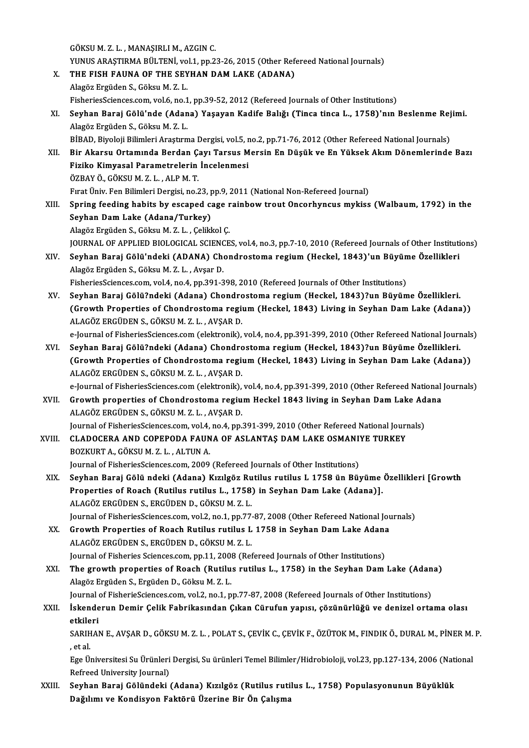GÖKSUM.Z.L. ,MANAŞIRLIM.,AZGINC. GÖKSU M. Z. L. , MANAŞIRLI M., AZGIN C.<br>YUNUS ARAŞTIRMA BÜLTENİ, vol.1, pp.23-26, 2015 (Other Refereed National Journals)<br>THE FISH FAJINA OF THE SEVHAN DAM LAKE (ADANA) X. THE FISH FAUNA OF THE SEYHAN DAM LAKE (ADANA)<br>Alagöz Ergüden S., Göksu M. Z. L. YUNUS ARAŞTIRMA BÜLTENİ, vo<br>THE FISH FAUNA OF THE SEY<br>Alagöz Ergüden S., Göksu M. Z. L.<br>Fiskonies Stianees som val 6 no 1 FisheriesSciences.com, vol.6, no.1, pp.39-52, 2012 (Refereed Journals of Other Institutions) Alagöz Ergüden S., Göksu M. Z. L.<br>FisheriesSciences.com, vol.6, no.1, pp.39-52, 2012 (Refereed Journals of Other Institutions)<br>XI. Seyhan Baraj Gölü'nde (Adana) Yaşayan Kadife Balığı (Tinca tinca L., 1758)'nın Beslenme Rej AlagözErgüdenS.,GöksuM.Z.L. Seyhan Baraj Gölü'nde (Adana) Yaşayan Kadife Balığı (Tinca tinca L., 1758)'nın Beslenme Rej<br>Alagöz Ergüden S., Göksu M. Z. L.<br>BİBAD, Biyoloji Bilimleri Araştırma Dergisi, vol.5, no.2, pp.71-76, 2012 (Other Refereed Nationa Alagöz Ergüden S., Göksu M. Z. L.<br>BİBAD, Biyoloji Bilimleri Araştırma Dergisi, vol.5, no.2, pp.71-76, 2012 (Other Refereed National Journals)<br>XII. Bir Akarsu Ortamında Berdan Çayı Tarsus Mersin En Düşük ve En Yüksek Ak BİBAD, Biyoloji Bilimleri Araştırma Dergisi, vol.5, no.2, pp.71-76, 2012 (Other Refereed National Journals)<br>Bir Akarsu Ortamında Berdan Çayı Tarsus Mersin En Düşük ve En Yüksek Akım Dönemlerinde<br>Fiziko Kimyasal Parametrele Bir Akarsu Ortamında Berdan Ç.<br>Fiziko Kimyasal Parametrelerin<br>ÖZBAY Ö., GÖKSU M. Z. L. , ALP M. T.<br>Fırst Üniv Fen Bilimleri Dergisi ne 2 FıratÜniv.FenBilimleriDergisi,no.23,pp.9,2011 (NationalNon-Refereed Journal) XIII. Spring feeding habits by escaped cage rainbow trout Oncorhyncus mykiss (Walbaum, 1792) in the Seyhan DamLake (Adana/Turkey) AlagözErgüdenS.,GöksuM.Z.L. ,ÇelikkolÇ. JOURNAL OF APPLIED BIOLOGICAL SCIENCES, vol.4, no.3, pp.7-10, 2010 (Refereed Journals of Other Institutions) Alagöz Ergüden S., Göksu M. Z. L. , Çelikkol Ç.<br>JOURNAL OF APPLIED BIOLOGICAL SCIENCES, vol.4, no.3, pp.7-10, 2010 (Refereed Journals of Other Instituti<br>XIV. Seyhan Baraj Gölü'ndeki (ADANA) Chondrostoma regium (Heckel, JOURNAL OF APPLIED BIOLOGICAL SCIENO<br>Seyhan Baraj Gölü'ndeki (ADANA) Cho<br>Alagöz Ergüden S., Göksu M. Z. L. , Avşar D.<br>Fiskonies Sciences com vol 4 no 4 nn 201-2 Alagöz Ergüden S., Göksu M. Z. L. , Avşar D.<br>FisheriesSciences.com, vol.4, no.4, pp.391-398, 2010 (Refereed Journals of Other Institutions) Alagöz Ergüden S., Göksu M. Z. L. , Avşar D.<br>FisheriesSciences.com, vol.4, no.4, pp.391-398, 2010 (Refereed Journals of Other Institutions)<br>XV. Seyhan Baraj Gölü?ndeki (Adana) Chondrostoma regium (Heckel, 1843)?un Büyüme Ö FisheriesSciences.com, vol.4, no.4, pp.391-398, 2010 (Refereed Journals of Other Institutions)<br>Seyhan Baraj Gölü?ndeki (Adana) Chondrostoma regium (Heckel, 1843)?un Büyüme Özellikleri.<br>(Growth Properties of Chondrostoma re Seyhan Baraj Gölü?ndeki (Adana) Chondro<br>(Growth Properties of Chondrostoma regi:<br>ALAGÖZ ERGÜDEN S., GÖKSU M. Z. L. , AVŞAR D.<br>e Journal of FisheriesSciences com (olektronik) (Growth Properties of Chondrostoma regium (Heckel, 1843) Living in Seyhan Dam Lake (Adana))<br>ALAGÖZ ERGÜDEN S., GÖKSU M. Z. L. , AVŞAR D.<br>e-Journal of FisheriesSciences.com (elektronik), vol.4, no.4, pp.391-399, 2010 (Other ALAGÖZ ERGÜDEN S., GÖKSU M. Z. L. , AVŞAR D.<br>e-Journal of FisheriesSciences.com (elektronik), vol.4, no.4, pp.391-399, 2010 (Other Refereed National Journ<br>XVI. Seyhan Baraj Gölü?ndeki (Adana) Chondrostoma regium (Heckel, 1 e-Journal of FisheriesSciences.com (elektronik), vol.4, no.4, pp.391-399, 2010 (Other Refereed National Journals<br>Seyhan Baraj Gölü?ndeki (Adana) Chondrostoma regium (Heckel, 1843)?un Büyüme Özellikleri.<br>(Growth Properties Seyhan Baraj Gölü?ndeki (Adana) Chondro<br>(Growth Properties of Chondrostoma regi:<br>ALAGÖZ ERGÜDEN S., GÖKSU M. Z. L. , AVŞAR D.<br>e Journal of FisheriesSciences com (olektronik) (Growth Properties of Chondrostoma regium (Heckel, 1843) Living in Seyhan Dam Lake (Adana))<br>ALAGÖZ ERGÜDEN S., GÖKSU M. Z. L. , AVŞAR D.<br>e-Journal of FisheriesSciences.com (elektronik), vol.4, no.4, pp.391-399, 2010 (Other ALAGÖZ ERGÜDEN S., GÖKSU M. Z. L. , AVŞAR D.<br>e-Journal of FisheriesSciences.com (elektronik), vol.4, no.4, pp.391-399, 2010 (Other Refereed National<br>XVII. Growth properties of Chondrostoma regium Heckel 1843 living in Seyh ALAGÖZ ERGÜDENS.,GÖKSUM.Z.L. ,AVŞARD. Growth properties of Chondrostoma regium Heckel 1843 living in Seyhan Dam Lake Ad<br>ALAGÖZ ERGÜDEN S., GÖKSU M. Z. L. , AVŞAR D.<br>Journal of FisheriesSciences.com, vol.4, no.4, pp.391-399, 2010 (Other Refereed National Journa XVIII. CLADOCERA AND COPEPODA FAUNA OF ASLANTAŞ DAM LAKE OSMANIYE TURKEY<br>BOZKURT A., GÖKSU M. Z. L. , ALTUN A. Journal of FisheriesSciences.com, vol.4, no.4, pp.391-399, 2010 (Other Refereed National Journals) Journal of FisheriesSciences.com, 2009 (Refereed Journals of Other Institutions) XIX. Seyhan Baraj Gölü ndeki (Adana) Kızılgöz Rutilus rutilus L 1758 ün Büyüme Özellikleri [Growth Journal of FisheriesSciences.com, 2009 (Refereed Journals of Other Institutions)<br>Seyhan Baraj Gölü ndeki (Adana) Kızılgöz Rutilus rutilus L 1758 ün Büyüme<br>Properties of Roach (Rutilus rutilus L., 1758) in Seyhan Dam Lake ( Seyhan Baraj Gölü ndeki (Adana) Kızılgöz Ru<br>Properties of Roach (Rutilus rutilus L., 1758)<br>ALAGÖZ ERGÜDEN S., ERGÜDEN D., GÖKSU M. Z. L.<br>Journal of EisboriesSciences com vol 2 no 1 nn 77 Properties of Roach (Rutilus rutilus L., 1758) in Seyhan Dam Lake (Adana)].<br>ALAGÖZ ERGÜDEN S., ERGÜDEN D., GÖKSU M. Z. L.<br>Journal of FisheriesSciences.com, vol.2, no.1, pp.77-87, 2008 (Other Refereed National Journals)<br>Cro ALAGÖZ ERGÜDEN S., ERGÜDEN D., GÖKSU M. Z. L.<br>Journal of Fisheries Sciences.com, vol.2, no.1, pp.77-87, 2008 (Other Refereed National Journal of Fisheries of Roach Rutilus rutilus L 1758 in Seyhan Dam Lake Adana<br>ALAGÖZ ERG Journal of FisheriesSciences.com, vol.2, no.1, pp.77<br>Growth Properties of Roach Rutilus rutilus L<br>ALAGÖZ ERGÜDEN S., ERGÜDEN D., GÖKSU M. Z. L.<br>Journal of Eisheries Sciences.com, nn 11, 2009 (Pet Growth Properties of Roach Rutilus rutilus L 1758 in Seyhan Dam Lake Adana<br>ALAGÖZ ERGÜDEN S., ERGÜDEN D., GÖKSU M. Z. L.<br>Journal of Fisheries Sciences.com, pp.11, 2008 (Refereed Journals of Other Institutions)<br>The grouth p ALAGÖZ ERGÜDEN S., ERGÜDEN D., GÖKSU M. Z. L.<br>Journal of Fisheries Sciences.com, pp.11, 2008 (Refereed Journals of Other Institutions)<br>XXI. The growth properties of Roach (Rutilus rutilus L., 1758) in the Seyhan Dam Lake ( Journal of Fisheries Sciences.com, pp.11, 2008 (Refereed Journals of Other Institutions)<br>The growth properties of Roach (Rutilus rutilus L., 1758) in the Seyhan Dam<br>Alagöz Ergüden S., Ergüden D., Göksu M. Z. L. The growth properties of Roach (Rutilus rutilus L., 1758) in the Seyhan Dam Lake (Adan<br>Alagöz Ergüden S., Ergüden D., Göksu M. Z. L.<br>Journal of FisherieSciences.com, vol.2, no.1, pp.77-87, 2008 (Refereed Journals of Other XXII. İskenderun Demir Çelik Fabrikasından Çıkan Cürufun yapısı, çözünürlüğü ve denizel ortama olası<br>etkileri Journal of FisherieSciences.com, vol.2, no.1, pp.77-87, 2008 (Refereed Journals of Other Institutions) İskenderun Demir Çelik Fabrikasından Çıkan Cürufun yapısı, çözünürlüğü ve denizel ortama olası<br>etkileri<br>SARIHAN E., AVŞAR D., GÖKSU M. Z. L. , POLAT S., ÇEVİK C., ÇEVİK F., ÖZÜTOK M., FINDIK Ö., DURAL M., PİNER M. P etkile<br>SARIH<br>, et al.<br>Ege <sup>ij,</sup> SARIHAN E., AVŞAR D., GÖKSU M. Z. L. , POLAT S., ÇEVİK C., ÇEVİK F., ÖZÜTOK M., FINDIK Ö., DURAL M., PİNER M.<br>, et al.<br>Ege Üniversitesi Su Ürünleri Dergisi, Su ürünleri Temel Bilimler/Hidrobioloji, vol.23, pp.127-134, 2006 , et al.<br>Ege Üniversitesi Su Ürünleri Dergisi, Su ürünleri Temel Bilimler/Hidrobioloji, vol.23, pp.127-134, 2006 (National<br>Refreed University Journal) Ege Üniversitesi Su Ürünleri Dergisi, Su ürünleri Temel Bilimler/Hidrobioloji, vol.23, pp.127-134, 2006 (Nati<br>Refreed University Journal)<br>XXIII. Seyhan Baraj Gölündeki (Adana) Kızılgöz (Rutilus rutilus L., 1758) Populasyon Refreed University Journal)<br>Seyhan Baraj Gölündeki (Adana) Kızılgöz (Rutilus ruti<br>Dağılımı ve Kondisyon Faktörü Üzerine Bir Ön Çalışma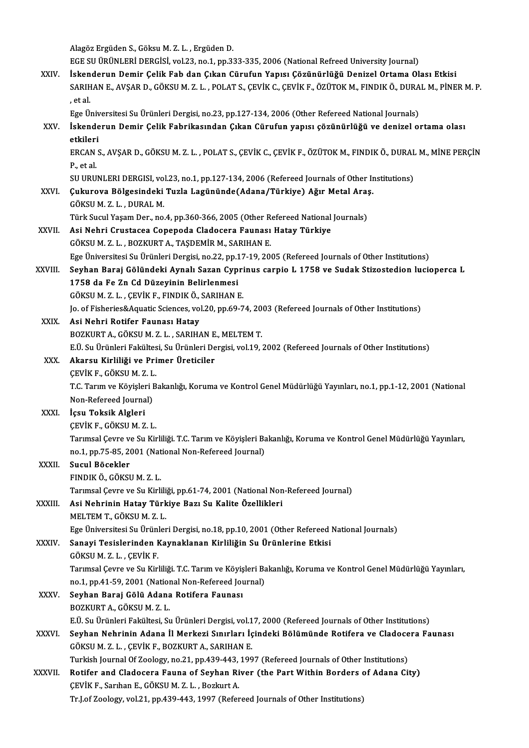AlagözErgüdenS.,GöksuM.Z.L. ,ErgüdenD.

EGE SU ÜRÜNLERİ DERGİSİ, vol.23, no.1, pp.333-335, 2006 (National Refreed University Journal)

XXIV. İskenderun Demir Çelik Fab dan Çıkan Cürufun Yapısı Çözünürlüğü Denizel Ortama Olası Etkisi EGE SU ÜRÜNLERİ DERGİSİ, vol.23, no.1, pp.333-335, 2006 (National Refreed University Journal)<br>İskenderun Demir Çelik Fab dan Çıkan Cürufun Yapısı Çözünürlüğü Denizel Ortama Olası Etkisi<br>SARIHAN E., AVŞAR D., GÖKSU M. Z. L. , et al.<br>Ege Üniversitesi Su Ürünleri Dergisi, no.23, pp.127-134, 2006 (Other Refereed National Journals) SARIHAN E., AVŞAR D., GÖKSU M. Z. L. , POLAT S., ÇEVİK C., ÇEVİK F., ÖZÜTOK M., FINDIK Ö., DURA<br>, et al.<br>Ege Üniversitesi Su Ürünleri Dergisi, no.23, pp.127-134, 2006 (Other Refereed National Journals)<br>İskandarun Damir Gal

# , et al.<br>Ege Üniversitesi Su Ürünleri Dergisi, no.23, pp.127-134, 2006 (Other Refereed National Journals)<br>XXV. İskenderun Demir Çelik Fabrikasından Çıkan Cürufun yapısı çözünürlüğü ve denizel ortama olası<br>Atkileri Ege Üniv<br>İskende<br>etkileri<br>ERCAN S İskenderun Demir Çelik Fabrikasından Çıkan Cürufun yapısı çözünürlüğü ve denizel ortama olası<br>etkileri<br>ERCAN S., AVŞAR D., GÖKSU M. Z. L. , POLAT S., ÇEVİK C., ÇEVİK F., ÖZÜTOK M., FINDIK Ö., DURAL M., MİNE PERÇİN<br>B. et al

etkileri<br>ERCAN<br>P., et al.<br>SU UPU ERCAN S., AVŞAR D., GÖKSU M. Z. L. , POLAT S., ÇEVİK C., ÇEVİK F., ÖZÜTOK M., FINDIK Ö., DURAL<br>P., et al.<br>SU URUNLERI DERGISI, vol.23, no.1, pp.127-134, 2006 (Refereed Journals of Other Institutions)<br>Cultureve Bölgesindeki

SU URUNLERI DERGISI, vol.23, no.1, pp.127-134, 2006 (Refereed Journals of Other Institutions)

- P., et al.<br>SU URUNLERI DERGISI, vol.23, no.1, pp.127-134, 2006 (Refereed Journals of Other Ir<br>XXVI. Çukurova Bölgesindeki Tuzla Lagününde(Adana/Türkiye) Ağır Metal Araş.<br>GÖKSU M. Z. L. , DURAL M. Çukurova Bölgesindeki Tuzla Lagününde(Adana/Türkiye) Ağır Metal Araş<br>GÖKSU M. Z. L. , DURAL M.<br>Türk Sucul Yaşam Der., no.4, pp.360-366, 2005 (Other Refereed National Journals)<br>Asi Nobri Crustasse Canenode Cladesere Founes: XXVI . Asi Nehri Crustacea Copepoda Cladocera Faunası Hatay Türkiye
	- Asi Nehri Crustacea Copepoda Cladocera Faunası Hatay Türkiye<br>GÖKSU M.Z.L., BOZKURT A., TAŞDEMİR M., SARIHAN E.

Ege Üniversitesi Su Ürünleri Dergisi, no.22, pp.17-19, 2005 (Refereed Journals of Other Institutions)

- GÖKSU M. Z. L. , BOZKURT A., TAŞDEMİR M., SARIHAN E.<br>Ege Üniversitesi Su Ürünleri Dergisi, no.22, pp.17-19, 2005 (Refereed Journals of Other Institutions)<br>XXVIII. Seyhan Baraj Gölündeki Aynalı Sazan Cyprinus carpio L 1758 Ege Üniversitesi Su Ürünleri Dergisi, no.22, pp.1<br>Seyhan Baraj Gölündeki Aynalı Sazan Cyp<br>1758 da Fe Zn Cd Düzeyinin Belirlenmesi<br>GÖKSUM 7 L. GEVİK E. ENDIKÖ SADHAN L Seyhan Baraj Gölündeki Aynalı Sazan Cypri<br>1758 da Fe Zn Cd Düzeyinin Belirlenmesi<br>GÖKSU M. Z. L. , ÇEVİK F., FINDIK Ö., SARIHAN E.<br>Je ef Fisheriss<sup>9, A</sup>suatis Ssianses vel 20 nn 60.7 1758 da Fe Zn Cd Düzeyinin Belirlenmesi<br>GÖKSU M. Z. L. , ÇEVİK F., FINDIK Ö., SARIHAN E.<br>Jo. of Fisheries&Aquatic Sciences, vol.20, pp.69-74, 2003 (Refereed Journals of Other Institutions)<br>Asi Nobri Botifor Faunası Hatay GÖKSU M. Z. L. , ÇEVİK F., FINDIK Ö., SARIHAN E.<br>Jo. of Fisheries&Aquatic Sciences, vol.20, pp.69-74, 200<br>XXIX. Asi Nehri Rotifer Faunası Hatay<br>BOZKURT A., GÖKSU M. Z. L. , SARIHAN E., MELTEM T.
	- Jo. of Fisheries&Aquatic Sciences, vol.20, pp.69-74, 20<br>Asi Nehri Rotifer Faunası Hatay<br>BOZKURT A., GÖKSU M. Z. L. , SARIHAN E., MELTEM T.<br>E Ü. S.: Ürünleri Fakültesi S.: Ürünleri Dergisi vol.19

Asi Nehri Rotifer Faunası Hatay<br>BOZKURT A., GÖKSU M. Z. L. , SARIHAN E., MELTEM T.<br>E.Ü. Su Ürünleri Fakültesi, Su Ürünleri Dergisi, vol.19, 2002 (Refereed Journals of Other Institutions)<br>Akansu Kirliliği ve Primer Üretisil

### XXX. Akarsu Kirliliği ve Primer Üreticiler

E.Ü. Su Ürünleri Fakültes<br>**Akarsu Kirliliği ve Pri**<br>ÇEVİK F., GÖKSU M. Z. L.<br>T.C. Torun ve Kövisleri B T.C. Tarım ve Köyişleri Bakanlığı, Koruma ve Kontrol Genel Müdürlüğü Yayınları, no.1, pp.1-12, 2001 (National CEVIK F., GÖKSU M. Z. L. Non-Refereed Journal)

# XXXI. İçsu Toksik Algleri

İçsu Toksik Algleri<br>ÇEVİK F., GÖKSU M. Z. L.<br>Tarımsal Çevre ve Su Kirliliği. T.C. Tarım ve Köyişleri Bakanlığı, Koruma ve Kontrol Genel Müdürlüğü Yayınları,<br>P.Q.1, P.75, 85, 2001 (National Non Boforeed Jayınal) ÇEVİK F., GÖKSU M. Z. L.<br>Tarımsal Çevre ve Su Kirliliği. T.C. Tarım ve Köyişleri Ba<br>no.1, pp.75-85, 2001 (National Non-Refereed Journal)<br>Sugul Bösekler no.1, pp.75-85, 2001 (National Non-Refereed Journal)

### XXXII. Sucul Böcekler<br>FINDIK Ö., GÖKSU M. Z. L.

Sucul Böcekler<br>FINDIK Ö., GÖKSU M. Z. L.<br>Tarımsal Çevre ve Su Kirliliği, pp.61-74, 2001 (National Non-Refereed Journal)<br>Asi Nobrinin Hatay Türkiye Barı Su Kalite Özellikleri

# FINDIK Ö., GÖKSU M. Z. L.<br>Tarımsal Çevre ve Su Kirliliği, pp.61-74, 2001 (National Non<br>XXXIII. Asi Nehrinin Hatay Türkiye Bazı Su Kalite Özellikleri<br>MELTEM T. GÖKSU M. Z. J Tarımsal Çevre ve Su Kirlili<br>Asi Nehrinin Hatay Türk<br>MELTEM T., GÖKSU M. Z. L.<br>Ege Üniversitesi Su Ürünler Asi Nehrinin Hatay Türkiye Bazı Su Kalite Özellikleri<br>MELTEM T., GÖKSU M. Z. L.<br>Ege Üniversitesi Su Ürünleri Dergisi, no.18, pp.10, 2001 (Other Refereed National Journals)<br>Sanavi Tesislarindan Kaunaklanan Kirliliğin Su Ürü

# MELTEM T., GÖKSU M. Z. L.<br>Ege Üniversitesi Su Ürünleri Dergisi, no.18, pp.10, 2001 (Other Refereed<br>XXXIV. Sanayi Tesislerinden Kaynaklanan Kirliliğin Su Ürünlerine Etkisi<br>CÖKSU M Z L. CEVİK E Ege Üniversitesi Su Ürünl<br><mark>Sanayi Tesislerinden k</mark><br>GÖKSU M. Z. L. , ÇEVİK F.<br>Tarımsal Ceyre ve Su Kirl

Sanayi Tesislerinden Kaynaklanan Kirliliğin Su Ürünlerine Etkisi<br>GÖKSU M. Z. L. , ÇEVİK F.<br>Tarımsal Çevre ve Su Kirliliği. T.C. Tarım ve Köyişleri Bakanlığı, Koruma ve Kontrol Genel Müdürlüğü Yayınları,<br>ne 1 nn 41 59 2001 GÖKSU M. Z. L. , ÇEVİK F.<br>Tarımsal Çevre ve Su Kirliliği. T.C. Tarım ve Köyişleri Ba<br>no.1, pp.41-59, 2001 (National Non-Refereed Journal)<br>Seyhan Barai Gölü, Adana Batifara Faunası no.1, pp.41-59, 2001 (National Non-Refereed Journal)

# XXXV. Seyhan Baraj Gölü Adana Rotifera Faunası

E.Ü. Su Ürünleri Fakültesi, Su Ürünleri Dergisi, vol.17, 2000 (Refereed Journals of Other Institutions)

# BOZKURT A., GÖKSU M. Z. L.<br>E.Ü. Su Ürünleri Fakültesi, Su Ürünleri Dergisi, vol.17, 2000 (Refereed Journals of Other Institutions)<br>XXXVI. Seyhan Nehrinin Adana İl Merkezi Sınırları İçindeki Bölümünde Rotifera ve Cladocera E.Ü. Su Ürünleri Fakültesi, Su Ürünleri Dergisi, vol.1<br>Se**yhan Nehrinin Adana İl Merkezi Sınırları İç**<br>GÖKSU M. Z. L. , ÇEVİK F., BOZKURT A., SARIHAN E.<br>Turkish Journal Of Zeologu, no 21, np 429,442, 199 Seyhan Nehrinin Adana İl Merkezi Sınırları İçindeki Bölümünde Rotifera ve Cladoce<br>GÖKSU M. Z. L. , ÇEVİK F., BOZKURT A., SARIHAN E.<br>Turkish Journal Of Zoology, no.21, pp.439-443, 1997 (Refereed Journals of Other Institutio

### GÖKSU M. Z. L. , ÇEVİK F., BOZKURT A., SARIHAN E.<br>Turkish Journal Of Zoology, no.21, pp.439-443, 1997 (Refereed Journals of Other Institutions)<br>XXXVII. Rotifer and Cladocera Fauna of Seyhan River (the Part Within Borders o Turkish Journal Of Zoology, no.21, pp.439-443,<br>Rotifer and Cladocera Fauna of Seyhan Ri<br>ÇEVİK F., Sarıhan E., GÖKSU M.Z.L. , Bozkurt A. Rotifer and Cladocera Fauna of Seyhan River (the Part Within Borders of Adana City)<br>CEVİK F., Sarıhan E., GÖKSU M. Z. L., Bozkurt A.<br>Tr.J.of Zoology, vol.21, pp.439-443, 1997 (Refereed Journals of Other Institutions)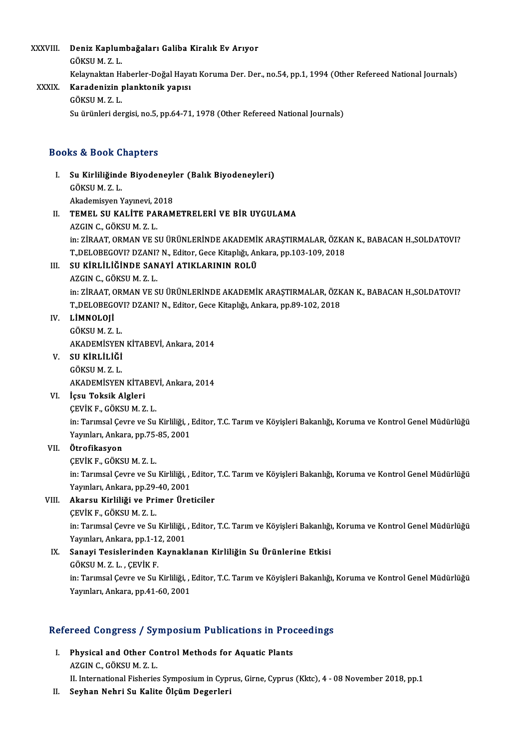XXXVIII. Deniz Kaplumbağaları Galiba Kiralık Ev Arıyor<br>GÖYSUM Z L Deniz Kaplun<br>GÖKSU M. Z. L.<br>Kelamaktan H GÖKSU M. Z. L.<br>Kelaynaktan Haberler-Doğal Hayatı Koruma Der. Der., no.54, pp.1, 1994 (Other Refereed National Journals) GÖKSU M. Z. L.<br>Kelaynaktan Haberler-Doğal Haya<br>XXXIX. Karadenizin planktonik yapısı<br>GÖYSU M. Z. L Kelaynaktan H.<br><mark>Karadenizin <sub>I</sub><br>GÖKSU M. Z. L.</mark><br>Su ürünleri del

GÖKSU M. Z. L.<br>Su ürünleri dergisi, no.5, pp.64-71, 1978 (Other Refereed National Journals)

### Books&Book Chapters

I. Su Kirliliğinde Biyodeneyler (Balık Biyodeneyleri) su a Book<br>Su Kirliliğind<br>GÖKSU M. Z. L.<br>Akademiayan Su Kirliliğinde Biyodeneyl<br>GÖKSU M. Z. L.<br>Akademisyen Yayınevi, 2018<br>TEMEL SU KALİTE BARAM GÖKSU M. Z. L.<br>Akademisyen Yayınevi, 2018<br>II. TEMEL SU KALİTE PARAMETRELERİ VE BİR UYGULAMA<br>AZCIN G. GÖYSU M. Z. L Akademisyen Yayınevi, 2<br>TEMEL SU KALİTE PAI<br>AZGIN C., GÖKSU M. Z. L.<br>in: ZIRAAT OPMAN VE S AZGIN C., GÖKSU M. Z. L.<br>in: ZİRAAT, ORMAN VE SU ÜRÜNLERİNDE AKADEMİK ARAŞTIRMALAR, ÖZKAN K., BABACAN H.,SOLDATOVI? AZGIN C., GÖKSU M. Z. L.<br>in: ZİRAAT, ORMAN VE SU ÜRÜNLERİNDE AKADEMİK ARAŞTIRMALAR, ÖZKA<br>T.,DELOBEGOVI? DZANI? N., Editor, Gece Kitaplığı, Ankara, pp.103-109, 2018<br>SU KİRLİL İĞİNDE SANAYLATIKLARININ POLÜ in: ZİRAAT, ORMAN VE SU ÜRÜNLERİNDE AKADEMİ<br>T.,DELOBEGOVI? DZANI? N., Editor, Gece Kitaplığı, An<br>III. SU KİRLİLİĞİNDE SANAYİ ATIKLARININ ROLÜ<br>AZCIN G. GÖKELM Z.L

T.,DELOBEGOVI? DZANI?<br>S<mark>U KİRLİLİĞİNDE SAN</mark><br>AZGIN C., GÖKSU M. Z. L.<br>in: <sup>ZIRAAT</sup> OPMAN VE S III. SU KİRLİLİĞİNDE SANAYİ ATIKLARININ ROLÜ<br>AZGIN C., GÖKSU M. Z. L.<br>in: ZİRAAT, ORMAN VE SU ÜRÜNLERİNDE AKADEMİK ARAŞTIRMALAR, ÖZKAN K., BABACAN H.,SOLDATOVI? AZGIN C., GÖKSU M. Z. L.<br>in: ZİRAAT, ORMAN VE SU ÜRÜNLERİNDE AKADEMİK ARAŞTIRMALAR, ÖZK<br>T.,DELOBEGOVI? DZANI? N., Editor, Gece Kitaplığı, Ankara, pp.89-102, 2018<br>LİMNOLOJİ

## IV. LİMNOLOJİ

T.,DELOBEGOV<br>LIMNOLOJI<br>GÖKSU M. Z. L.<br>AKADEMİSVEN LİMNOLOJİ<br>GÖKSU M. Z. L.<br>AKADEMİSYEN KİTABEVİ, Ankara, 2014<br>SU KİPLİLİĞİ

V. SU KİRLİLİĞİ AKADEMISYEN<br>S<mark>U KİRLİLİĞİ</mark><br>GÖKSU M. Z. L.<br>AKADEMISYEN SU KİRLİLİĞİ<br>GÖKSU M. Z. L.<br>AKADEMİSYEN KİTABEVİ, Ankara, 2014<br>İsev Teksik Alsleri AKADEMİSYEN KİTABE<mark>)</mark><br>İçsu Toksik Algleri<br>ÇEVİK F., GÖKSU M. Z. L.<br>in: Tarımçal Carro ve Su

# VI. İçsu Toksik Algleri

İçsu Toksik Algleri<br>ÇEVİK F., GÖKSU M. Z. L.<br>in: Tarımsal Çevre ve Su Kirliliği, , Editor, T.C. Tarım ve Köyişleri Bakanlığı, Koruma ve Kontrol Genel Müdürlüğü<br>Yayınları, Ankara, pp.75,85, 2001 ÇEVİK F., GÖKSU M. Z. L.<br>in: Tarımsal Çevre ve Su Kirliliği, , l<br>Yayınları, Ankara, pp.75-85, 2001<br>Ötnefilmeyen Yayınları, Ankara, pp.75-85, 2001

## VII. Ötrofikasyon<br>CEVİK F., GÖKSU M. Z. L.

Ötrofikasyon<br>ÇEVİK F., GÖKSU M. Z. L.<br>in: Tarımsal Çevre ve Su Kirliliği, , Editor, T.C. Tarım ve Köyişleri Bakanlığı, Koruma ve Kontrol Genel Müdürlüğü<br>Yayınlan, Ankara, np 39,40, 3001 ÇEVİK F., GÖKSU M. Z. L.<br>in: Tarımsal Çevre ve Su Kirliliği, , l<br>Yayınları, Ankara, pp.29-40, 2001<br>Akaray, Kirliliği ve Primar Ürat in: Tarımsal Çevre ve Su Kirliliği, , Editor,<br>Yayınları, Ankara, pp.29-40, 2001<br>VIII. Akarsu Kirliliği ve Primer Üreticiler<br>CEVİK E. CÖKSILM 7 I Yayınları, Ankara, pp.29-<br><mark>Akarsu Kirliliği ve Pri</mark><br>ÇEVİK F., GÖKSU M. Z. L.<br>in: Tarımçal Coure ve Su

ÇEVİK F., GÖKSU M. Z. L.<br>in: Tarımsal Çevre ve Su Kirliliği, , Editor, T.C. Tarım ve Köyişleri Bakanlığı, Koruma ve Kontrol Genel Müdürlüğü Yayınları, Ankara, pp.1-12, 2001 in: Tarımsal Çevre ve Su Kirliliği, , Editor, T.C. Tarım ve Köyişleri Bakanlığı<br>Yayınları, Ankara, pp.1-12, 2001<br>IX. Sanayi Tesislerinden Kaynaklanan Kirliliğin Su Ürünlerine Etkisi<br>GÖKSUM Z L. CEVİK E

Yayınları, Ankara, pp.1-1<mark>.</mark><br>Sanayi Tesislerinden k<br>GÖKSU M. Z. L. , ÇEVİK F.<br>in: Tarımçal Cayra ve Su Sanayi Tesislerinden Kaynaklanan Kirliliğin Su Ürünlerine Etkisi<br>GÖKSU M. Z. L. , ÇEVİK F.<br>in: Tarımsal Çevre ve Su Kirliliği, , Editor, T.C. Tarım ve Köyişleri Bakanlığı, Koruma ve Kontrol Genel Müdürlüğü<br>Yayınları, Ankar GÖKSU M. Z. L. , ÇEVİK F.<br>in: Tarımsal Çevre ve Su Kirliliği, , l<br>Yayınları, Ankara, pp.41-60, 2001

# raymarı, Ankara, pp.41-60, 2001<br>Refereed Congress / Symposium Publications in Proceedings

efereed Congress / Symposium Publications in Pro<br>I. Physical and Other Control Methods for Aquatic Plants<br>AZCIN G GÖVSUM Z J I. Physical and Other Control Methods for Aquatic Plants<br>AZGIN C., GÖKSU M. Z. L.

II. International Fisheries Symposium in Cyprus, Girne, Cyprus (Kktc), 4 - 08 November 2018, pp.1

II. Seyhan Nehri Su Kalite Ölçüm Degerleri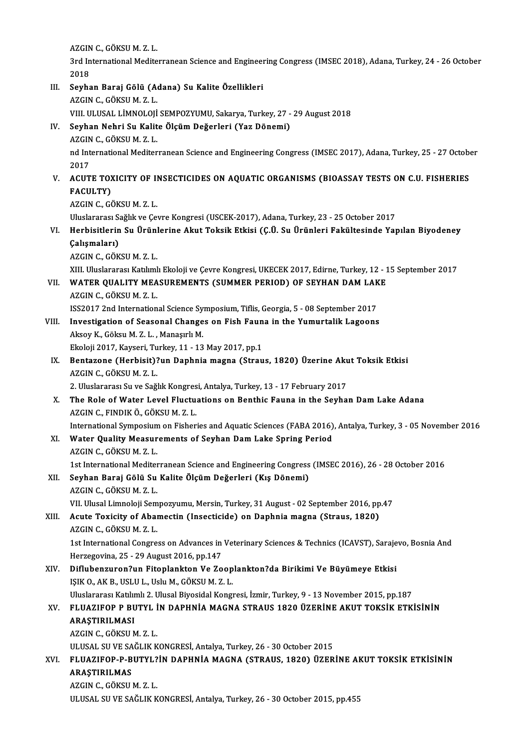AZGIN C., GÖKSU M. Z. L.<br>2rd International Medite

3rd International Mediterranean Science and Engineering Congress (IMSEC 2018), Adana, Turkey, 24 - 26 October<br>2018 AZGIN<br>3rd In<br>2018<br>Sexha 3rd International Mediterranean Science and Engineer<br>2018<br>III. Seyhan Baraj Gölü (Adana) Su Kalite Özellikleri<br>27CN G GÖKSU M 7 L

2018<br><mark>Seyhan Baraj Gölü (A</mark>)<br>AZGIN C., GÖKSU M. Z. L.<br>VIII. III IISAL LİMNOLOU. AZGIN C., GÖKSU M. Z. L.<br>VIII. ULUSAL LİMNOLOJİ SEMPOZYUMU, Sakarya, Turkey, 27 - 29 August 2018 AZGIN C., GÖKSU M. Z. L.<br>VIII. ULUSAL LİMNOLOJİ SEMPOZYUMU, Sakarya, Turkey, 27 -<br>IV. Seyhan Nehri Su Kalite Ölçüm Değerleri (Yaz Dönemi)<br>AZCIN G. GÖKSU M. Z. I VIII. ULUSAL LİMNOLOJİ<br>Seyhan Nehri Su Kalit<br>AZGIN C., GÖKSU M. Z. L.<br>nd International Mediter Seyhan Nehri Su Kalite Ölçüm Değerleri (Yaz Dönemi)<br>AZGIN C., GÖKSU M. Z. L.<br>nd International Mediterranean Science and Engineering Congress (IMSEC 2017), Adana, Turkey, 25 - 27 October<br>2017 AZGIN<br>nd Int<br>2017<br>ACUT nd International Mediterranean Science and Engineering Congress (IMSEC 2017), Adana, Turkey, 25 - 27 October 2017<br>V. ACUTE TOXICITY OF INSECTICIDES ON AQUATIC ORGANISMS (BIOASSAY TESTS ON C.U. FISHERIES<br>FACULTY) 2017<br>ACUTE TO)<br>FACULTY)<br>AZCIN C. CÉ <mark>ACUTE TOXICITY OF II</mark><br>FACULTY)<br>AZGIN C., GÖKSU M. Z. L.<br>Uluslararası Sağlık*ya Ca*l FACULTY)<br>AZGIN C., GÖKSU M. Z. L.<br>Uluslararası Sağlık ve Çevre Kongresi (USCEK-2017), Adana, Turkey, 23 - 25 October 2017<br>Herbisitlerin Su Ürünlerine Alut Teksik Etkisi (C.Ü. Su Ürünleri Fekültesinde Ver AZGIN C., GÖKSU M. Z. L.<br>Uluslararası Sağlık ve Çevre Kongresi (USCEK-2017), Adana, Turkey, 23 - 25 October 2017<br>VI. Herbisitlerin Su Ürünlerine Akut Toksik Etkisi (Ç.Ü. Su Ürünleri Fakültesinde Yapılan Biyodeney<br>Calısm Uluslararası S.<br>Herbisitlerin<br>Çalışmaları)<br>AZCIN G. GÖY Herbisitlerin Su Ürünl<br>Çalışmaları)<br>AZGIN C., GÖKSU M. Z. L.<br>YIII Uluelararası Katılıml Çalışmaları)<br>AZGIN C., GÖKSU M. Z. L.<br>XIII. Uluslararası Katılımlı Ekoloji ve Çevre Kongresi, UKECEK 2017, Edirne, Turkey, 12 - 15 September 2017<br>WATER QUALITY MEASUREMENTS (SUMMER RERIOD) OF SEVHAN DAM LA*VE* AZGIN C., GÖKSU M. Z. L.<br>XIII. Uluslararası Katılımlı Ekoloji ve Çevre Kongresi, UKECEK 2017, Edirne, Turkey, 12 - 1<br>VII. WATER QUALITY MEASUREMENTS (SUMMER PERIOD) OF SEYHAN DAM LAKE XIII. Uluslararası Katılıml<br>WATER QUALITY MEA<br>AZGIN C., GÖKSU M. Z. L.<br>ISS2017 2nd Internation WATER QUALITY MEASUREMENTS (SUMMER PERIOD) OF SEYHAN DAM LAK<br>AZGIN C., GÖKSU M. Z. L.<br>ISS2017 2nd International Science Symposium, Tiflis, Georgia, 5 - 08 September 2017<br>Investigation of Seesonal Changes on Eish Foune in t AZGIN C., GÖKSU M. Z. L.<br>ISS2017 2nd International Science Symposium, Tiflis, Georgia, 5 - 08 September 2017<br>VIII. Investigation of Seasonal Changes on Fish Fauna in the Yumurtalik Lagoons<br>Algou K. Göksu M. Z. J. Manasulu ISS2017 2nd International Science Symposium, Tiflis, Georgia, 5 - 08 September 2017<br>Investigation of Seasonal Changes on Fish Fauna in the Yumurtalik Lagoon:<br>Aksoy K., Göksu M. Z. L. , Manaşırlı M. Investigation of Seasonal Changes on Fish Faun<br>Aksoy K., Göksu M. Z. L. , Manaşırlı M.<br>Ekoloji 2017, Kayseri, Turkey, 11 - 13 May 2017, pp.1<br>Bentarana (Harbisit) 3un Danhnia magna (Strau Aksoy K., Göksu M. Z. L. , Manaşırlı M.<br>Ekoloji 2017, Kayseri, Turkey, 11 - 13 May 2017, pp.1<br>IX. Bentazone (Herbisit)?un Daphnia magna (Straus, 1820) Üzerine Akut Toksik Etkisi Ekoloji 2017, Kayseri, Turkey, 11 - 13 May 2017, pp.1<br>Bentazone (Herbisit)?un Daphnia magna (Straus, 1820) Üzerine Akı<br>AZGIN C., GÖKSU M. Z. L.<br>2. Uluslararası Su ve Sağlık Kongresi, Antalya, Turkey, 13 - 17 February 2017 Bentazone (Herbisit)?un Daphnia magna (Straus, 1820) Üzerine Aku<br>AZGIN C., GÖKSU M. Z. L.<br>2. Uluslararası Su ve Sağlık Kongresi, Antalya, Turkey, 13 - 17 February 2017<br>The Bolo of Water Level Elustuations on Bonthis Foune X. The Role ofWater Level Fluctuations on Benthic Fauna in the Seyhan DamLake Adana AZGINC.,FINDIKÖ.,GÖKSUM.Z.L. The Role of Water Level Fluctuations on Benthic Fauna in the Seyhan Dam Lake Adana<br>AZGIN C., FINDIK Ö., GÖKSU M. Z. L.<br>International Symposium on Fisheries and Aquatic Sciences (FABA 2016), Antalya, Turkey, 3 - 05 November XI. Water Quality Measurements of Seyhan Dam Lake Spring Period AZGIN C., GÖKSU M. Z. L. International Symposium<br>Water Quality Measur<br>AZGIN C., GÖKSU M. Z. L.<br>1st International Mediter Water Quality Measurements of Seyhan Dam Lake Spring Period<br>AZGIN C., GÖKSU M. Z. L.<br>1st International Mediterranean Science and Engineering Congress (IMSEC 2016), 26 - 28 October 2016<br>Seyhan Barai Gölü Su Kalita Ölgüm Değ XII. Seyhan Baraj Gölü Su Kalite Ölçüm Değerleri (Kış Dönemi)<br>AZGIN C., GÖKSU M. Z. L. 1st International Mediter<br>Seyhan Baraj Gölü Su<br>AZGIN C., GÖKSU M. Z. L.<br>VII Hlusal Limnalaji Sam VII. Ulusal Limnoloji Sempozyumu, Mersin, Turkey, 31 August - 02 September 2016, pp.47 AZGIN C., GÖKSU M. Z. L.<br>VII. Ulusal Limnoloji Sempozyumu, Mersin, Turkey, 31 August - 02 September 2016, pp<br>XIII. Acute Toxicity of Abamectin (Insecticide) on Daphnia magna (Straus, 1820)<br>AZCIN G. GÖKSU M. Z. I VII. Ulusal Limnoloji Sem<br>Acute Toxicity of Abaı<br>AZGIN C., GÖKSU M. Z. L.<br>1st International Congre Acute Toxicity of Abamectin (Insecticide) on Daphnia magna (Straus, 1820)<br>AZGIN C., GÖKSU M. Z. L.<br>1st International Congress on Advances in Veterinary Sciences & Technics (ICAVST), Sarajevo, Bosnia And<br>Herregovina, 25 – 2 AZGIN C., GÖKSU M. Z. L.<br>1st International Congress on Advances in<br>Herzegovina, 25 - 29 August 2016, pp.147<br>Diflubengunen<sup>2</sup>un Eiteplankton Ve Ze 1st International Congress on Advances in Veterinary Sciences & Technics (ICAVST), Saraje<br>Herzegovina, 25 - 29 August 2016, pp.147<br>XIV. Diflubenzuron?un Fitoplankton Ve Zooplankton?da Birikimi Ve Büyümeye Etkisi<br>ISIV.O. AV Herzegovina, 25 - 29 August 2016, pp.147<br><mark>Diflubenzuron?un Fitoplankton Ve Zoop</mark><br>IŞIK O., AK B., USLU L., Uslu M., GÖKSU M. Z. L.<br>Uluslarares: Katılıml: 2. Ulusal Biyosidal Kongr Diflubenzuron?un Fitoplankton Ve Zooplankton?da Birikimi Ve Büyümeye Etkisi<br>IŞIK O., AK B., USLU L., Uslu M., GÖKSU M. Z. L.<br>Uluslararası Katılımlı 2. Ulusal Biyosidal Kongresi, İzmir, Turkey, 9 - 13 November 2015, pp.187<br> IŞIK O., AK B., USLU L., Uslu M., GÖKSU M. Z. L.<br>Uluslararası Katılımlı 2. Ulusal Biyosidal Kongresi, İzmir, Turkey, 9 - 13 November 2015, pp.187<br>XV. FLUAZIFOP P BUTYL İN DAPHNİA MAGNA STRAUS 1820 ÜZERİNE AKUT TOKSİK E Uluslararası Katılımlı 2. Ulusal Biyosidal Kongresi, İzmir, Turkey, 9 - 13 November 2015, pp.187<br>FLUAZIFOP P BUTYL İN DAPHNİA MAGNA STRAUS 1820 ÜZERİNE AKUT TOKSİK ETK<br>ARAŞTIRILMASI<br>AZGIN C., GÖKSU M. Z. L. FLUAZIFOP P BUTYL İ<br>ARAŞTIRILMASI<br>AZGIN C., GÖKSU M. Z. L.<br>ULUSAL SU VE SAĞLIY V ARAŞTIRILMASI<br>AZGIN C., GÖKSU M. Z. L.<br>ULUSAL SU VE SAĞLIK KONGRESİ, Antalya, Turkey, 26 - 30 October 2015<br>ELUAZIEOR B BUTYL2İN DARHNİA MACNA (STRAUS, 1930), ÜZER AZGIN C., GÖKSU M. Z. L.<br>ULUSAL SU VE SAĞLIK KONGRESİ, Antalya, Turkey, 26 - 30 October 2015<br>XVI. FLUAZIFOP-P-BUTYL?İN DAPHNİA MAGNA (STRAUS, 1820) ÜZERİNE AKUT TOKSİK ETKİSİNİN<br>ARASTIRLI MAS ULUSAL SU VE SA<br>FLUAZIFOP-P-B<br>ARAŞTIRILMAS<br>AZCIN G-GÖYSU FLUAZIFOP-P-BUTYL?<br>ARAŞTIRILMAS<br>AZGIN C., GÖKSU M. Z. L.<br>ULUSAL SU VE SAĞLIK K ARAŞTIRILMAS<br>AZGIN C., GÖKSU M. Z. L.<br>ULUSAL SU VE SAĞLIK KONGRESİ, Antalya, Turkey, 26 - 30 October 2015, pp.455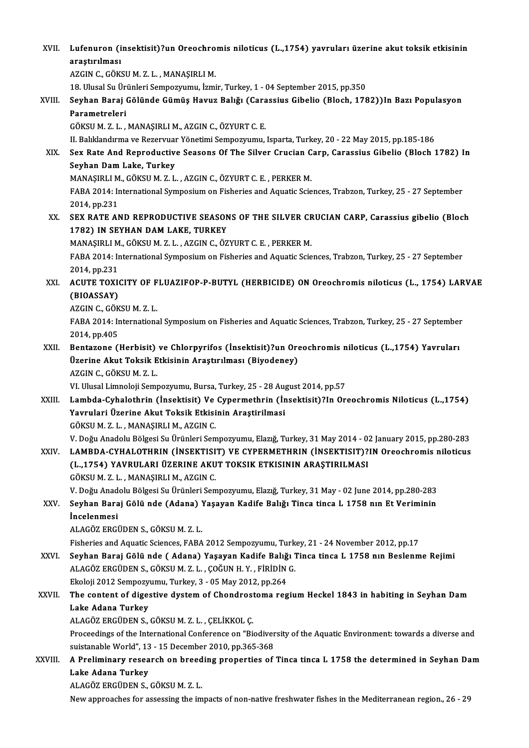| XVII.   | Lufenuron (insektisit)?un Oreochromis niloticus (L.,1754) yavruları üzerine akut toksik etkisinin<br>araştırılması |
|---------|--------------------------------------------------------------------------------------------------------------------|
|         | AZGIN C., GÖKSU M. Z. L., MANAŞIRLI M.                                                                             |
|         | 18. Ulusal Su Ürünleri Sempozyumu, İzmir, Turkey, 1 - 04 September 2015, pp.350                                    |
| XVIII.  | Seyhan Baraj Gölünde Gümüş Havuz Balığı (Carassius Gibelio (Bloch, 1782)) In Bazı Populasyon                       |
|         | Parametreleri                                                                                                      |
|         | GÖKSU M. Z. L., MANAŞIRLI M., AZGIN C., ÖZYURT C. E.                                                               |
|         | II. Balıklandırma ve Rezervuar Yönetimi Sempozyumu, Isparta, Turkey, 20 - 22 May 2015, pp.185-186                  |
| XIX.    | Sex Rate And Reproductive Seasons Of The Silver Crucian Carp, Carassius Gibelio (Bloch 1782) In                    |
|         | Seyhan Dam Lake, Turkey                                                                                            |
|         | MANAŞIRLI M., GÖKSU M. Z. L., AZGIN C., ÖZYURT C. E., PERKER M.                                                    |
|         | FABA 2014: International Symposium on Fisheries and Aquatic Sciences, Trabzon, Turkey, 25 - 27 September           |
|         | 2014, pp 231                                                                                                       |
| XX.     | SEX RATE AND REPRODUCTIVE SEASONS OF THE SILVER CRUCIAN CARP, Carassius gibelio (Bloch                             |
|         | 1782) IN SEYHAN DAM LAKE, TURKEY                                                                                   |
|         | MANAŞIRLI M., GÖKSU M. Z. L., AZGIN C., ÖZYURT C. E., PERKER M.                                                    |
|         | FABA 2014: International Symposium on Fisheries and Aquatic Sciences, Trabzon, Turkey, 25 - 27 September           |
|         | 2014, pp 231<br>ACUTE TOXICITY OF FLUAZIFOP-P-BUTYL (HERBICIDE) ON Oreochromis niloticus (L., 1754) LARVAE         |
| XXI.    | (BIOASSAY)                                                                                                         |
|         | AZGIN C., GÖKSU M. Z. L.                                                                                           |
|         | FABA 2014: International Symposium on Fisheries and Aquatic Sciences, Trabzon, Turkey, 25 - 27 September           |
|         | 2014, pp 405                                                                                                       |
| XXII.   | Bentazone (Herbisit) ve Chlorpyrifos (İnsektisit)?un Oreochromis niloticus (L.,1754) Yavruları                     |
|         | Üzerine Akut Toksik Etkisinin Araştırılması (Biyodeney)                                                            |
|         | AZGIN C., GÖKSU M. Z. L.                                                                                           |
|         | VI. Ulusal Limnoloji Sempozyumu, Bursa, Turkey, 25 - 28 August 2014, pp 57                                         |
| XXIII.  | Lambda-Cyhalothrin (İnsektisit) Ve Cypermethrin (İnsektisit)?In Oreochromis Niloticus (L.,1754)                    |
|         | Yavrulari Üzerine Akut Toksik Etkisinin Araştirilmasi                                                              |
|         | GÖKSU M. Z. L., MANAŞIRLI M., AZGIN C.                                                                             |
|         | V. Doğu Anadolu Bölgesi Su Ürünleri Sempozyumu, Elazığ, Turkey, 31 May 2014 - 02 January 2015, pp.280-283          |
| XXIV.   | LAMBDA-CYHALOTHRIN (İNSEKTISIT) VE CYPERMETHRIN (İNSEKTISIT)?IN Oreochromis niloticus                              |
|         | (L.,1754) YAVRULARI ÜZERINE AKUT TOKSIK ETKISININ ARAŞTIRILMASI                                                    |
|         | GÖKSU M. Z. L., MANAŞIRLI M., AZGIN C.                                                                             |
|         | V. Doğu Anadolu Bölgesi Su Ürünleri Sempozyumu, Elazığ, Turkey, 31 May - 02 June 2014, pp.280-283                  |
| XXV.    | Seyhan Baraj Gölü nde (Adana) Yaşayan Kadife Balığı Tinca tinca L 1758 nın Et Veriminin<br>İncelenmesi             |
|         | ALAGÖZ ERGÜDEN S., GÖKSU M. Z. L.                                                                                  |
|         | Fisheries and Aquatic Sciences, FABA 2012 Sempozyumu, Turkey, 21 - 24 November 2012, pp.17                         |
| XXVI.   | Seyhan Baraj Gölü nde ( Adana) Yaşayan Kadife Balığı Tinca tinca L 1758 nın Beslenme Rejimi                        |
|         | ALAGÖZ ERGÜDEN S., GÖKSU M. Z. L., ÇOĞUN H. Y., FİRİDİN G.                                                         |
|         | Ekoloji 2012 Sempozyumu, Turkey, 3 - 05 May 2012, pp 264                                                           |
| XXVII.  | The content of digestive dystem of Chondrostoma regium Heckel 1843 in habiting in Seyhan Dam                       |
|         | Lake Adana Turkey                                                                                                  |
|         | ALAGÖZ ERGÜDEN S., GÖKSU M. Z. L., ÇELİKKOL Ç.                                                                     |
|         | Proceedings of the International Conference on "Biodiversity of the Aquatic Environment: towards a diverse and     |
|         | suistanable World", 13 - 15 December 2010, pp 365-368                                                              |
| XXVIII. | A Preliminary research on breeding properties of Tinca tinca L 1758 the determined in Seyhan Dam                   |
|         | Lake Adana Turkey                                                                                                  |
|         | ALAGÖZ ERGÜDEN S., GÖKSU M. Z. L.                                                                                  |
|         | New approaches for assessing the impacts of non-native freshwater fishes in the Mediterranean region., 26 - 29     |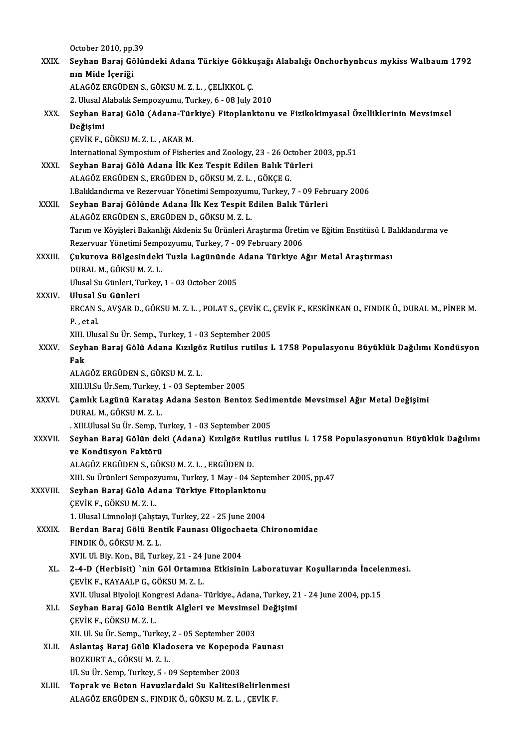|               | October 2010, pp.39                                                                                                                                         |
|---------------|-------------------------------------------------------------------------------------------------------------------------------------------------------------|
| XXIX.         | Seyhan Baraj Gölündeki Adana Türkiye Gökkuşağı Alabalığı Onchorhynhcus mykiss Walbaum 1792                                                                  |
|               | nın Mide İçeriği                                                                                                                                            |
|               | ALAGÖZ ERGÜDEN S., GÖKSU M. Z. L., ÇELİKKOL Ç.                                                                                                              |
|               | 2. Ulusal Alabalık Sempozyumu, Turkey, 6 - 08 July 2010                                                                                                     |
| XXX.          | Seyhan Baraj Gölü (Adana-Türkiye) Fitoplanktonu ve Fizikokimyasal Özelliklerinin Mevsimsel                                                                  |
|               | Değişimi                                                                                                                                                    |
|               | ÇEVİK F., GÖKSU M.Z.L., AKAR M.                                                                                                                             |
|               | International Symposium of Fisheries and Zoology, 23 - 26 October 2003, pp 51                                                                               |
| XXXI.         | Seyhan Baraj Gölü Adana İlk Kez Tespit Edilen Balık Türleri                                                                                                 |
|               | ALAGÖZ ERGÜDEN S., ERGÜDEN D., GÖKSU M. Z. L., GÖKÇE G.                                                                                                     |
|               | I.Balıklandırma ve Rezervuar Yönetimi Sempozyumu, Turkey, 7 - 09 February 2006                                                                              |
| <b>XXXII</b>  | Seyhan Baraj Gölünde Adana İlk Kez Tespit Edilen Balık Türleri                                                                                              |
|               | ALAGÖZ ERGÜDEN S., ERGÜDEN D., GÖKSU M. Z. L.                                                                                                               |
|               | Tarım ve Köyişleri Bakanlığı Akdeniz Su Ürünleri Araştırma Üretim ve Eğitim Enstitüsü I. Balıklandırma ve                                                   |
|               | Rezervuar Yönetimi Sempozyumu, Turkey, 7 - 09 February 2006                                                                                                 |
| <b>XXXIII</b> | Çukurova Bölgesindeki Tuzla Lagününde Adana Türkiye Ağır Metal Araştırması                                                                                  |
|               | DURAL M., GÖKSU M. Z. L.                                                                                                                                    |
|               | Ulusal Su Günleri, Turkey, 1 - 03 October 2005                                                                                                              |
| XXXIV.        | Ulusal Su Günleri                                                                                                                                           |
|               | ERCAN S., AVŞAR D., GÖKSU M. Z. L., POLAT S., ÇEVİK C., ÇEVİK F., KESKİNKAN O., FINDIK Ö., DURAL M., PİNER M.                                               |
|               | P., et al.                                                                                                                                                  |
| XXXV.         | XIII. Ulusal Su Ür. Semp., Turkey, 1 - 03 September 2005<br>Seyhan Baraj Gölü Adana Kızılgöz Rutilus rutilus L 1758 Populasyonu Büyüklük Dağılımı Kondüsyon |
|               | Fak                                                                                                                                                         |
|               | ALAGÖZ ERGÜDEN S., GÖKSU M. Z. L.                                                                                                                           |
|               | XIII Ul Su Ür Sem, Turkey, 1 - 03 September 2005                                                                                                            |
| <b>XXXVI</b>  | Çamlık Lagünü Karataş Adana Seston Bentoz Sedimentde Mevsimsel Ağır Metal Değişimi                                                                          |
|               | DURAL M., GÖKSU M. Z. L.                                                                                                                                    |
|               | . XIII.Ulusal Su Ür. Semp, Turkey, 1 - 03 September 2005                                                                                                    |
| XXXVII.       | Seyhan Baraj Gölün deki (Adana) Kızılgöz Rutilus rutilus L 1758 Populasyonunun Büyüklük Dağılımı                                                            |
|               | ve Kondüsyon Faktörü                                                                                                                                        |
|               | ALAGÖZ ERGÜDEN S., GÖKSU M. Z. L., ERGÜDEN D.                                                                                                               |
|               | XIII. Su Ürünleri Sempozyumu, Turkey, 1 May - 04 September 2005, pp.47                                                                                      |
| XXXVIII.      | Seyhan Baraj Gölü Adana Türkiye Fitoplanktonu                                                                                                               |
|               | ÇEVİK F., GÖKSU M.Z.L.                                                                                                                                      |
|               | 1. Ulusal Limnoloji Çalıştayı, Turkey, 22 - 25 June 2004                                                                                                    |
| XXXIX.        | Berdan Baraj Gölü Bentik Faunası Oligochaeta Chironomidae                                                                                                   |
|               | FINDIK Ö., GÖKSU M. Z. L.                                                                                                                                   |
|               | XVII Ul Biy Kon, Bil, Turkey, 21 - 24 June 2004                                                                                                             |
| XL.           | 2-4-D (Herbisit) `nin Göl Ortamına Etkisinin Laboratuvar Koşullarında İncelenmesi.                                                                          |
|               | ÇEVİK F., KAYAALP G., GÖKSU M.Z.L.                                                                                                                          |
|               | XVII. Ulusal Biyoloji Kongresi Adana- Türkiye., Adana, Turkey, 21 - 24 June 2004, pp.15                                                                     |
| XLI.          | Seyhan Baraj Gölü Bentik Algleri ve Mevsimsel Değişimi<br>$c$ ruiv r $c$ övcu m $z$ i                                                                       |

Seyhan Baraj Gölü Bentik Algleri ve Mevsimse<br>ÇEVİK F., GÖKSU M. Z. L.<br>XII. Ul. Su Ür. Semp., Turkey, 2 - 05 September 2003<br>Aslantas Baraj Gölü Kladesere ve Kanenada E XLII. Aslantaş Baraj Gölü Kladosera ve Kopepoda Faunası<br>BOZKURT A., GÖKSU M. Z. L. XII. Ul. Su Ür. Semp., Turkey,<br><mark>Aslantaş Baraj Gölü Klad</mark><br>BOZKURT A., GÖKSU M. Z. L.<br>III. Su Ür. Semp. Turkey E., ( Ul.SuÜr.Semp,Turkey,5 -09 September 2003 BOZKURT A., GÖKSU M. Z. L.<br>Ul. Su Ür. Semp, Turkey, 5 - 09 September 2003<br>XLIII. Toprak ve Beton Havuzlardaki Su KalitesiBelirlenmesi

ÇEVİKF.,GÖKSUM.Z.L.

Ul. Su Ür. Semp, Turkey, 5 - 09 September 2003<br><mark>Toprak ve Beton Havuzlardaki Su KalitesiBelirlenm</mark><br>ALAGÖZ ERGÜDEN S., FINDIK Ö., GÖKSU M. Z. L. , ÇEVİK F.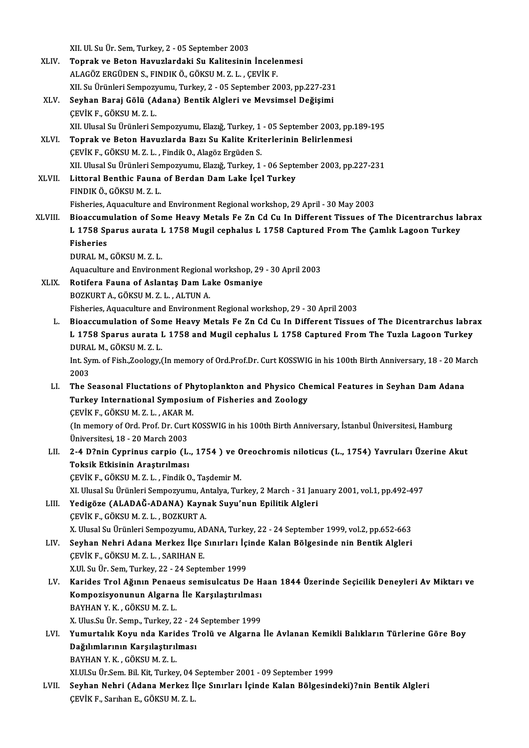XII. Ul. Su Ür. Sem, Turkey, 2 - 05 September 2003<br>Tennak ve Beten Hawyslandeki Su Kalitesinin

|              | XII. Ul. Su Ür. Sem, Turkey, 2 - 05 September 2003                                                                                                   |
|--------------|------------------------------------------------------------------------------------------------------------------------------------------------------|
| XLIV.        | Toprak ve Beton Havuzlardaki Su Kalitesinin İncelenmesi                                                                                              |
|              | ALAGÖZ ERGÜDEN S., FINDIK Ö., GÖKSU M. Z. L., ÇEVİK F.                                                                                               |
|              | XII. Su Ürünleri Sempozyumu, Turkey, 2 - 05 September 2003, pp.227-231                                                                               |
| XLV.         | Seyhan Baraj Gölü (Adana) Bentik Algleri ve Mevsimsel Değişimi                                                                                       |
|              | ÇEVİK F., GÖKSU M.Z.L.                                                                                                                               |
|              | XII. Ulusal Su Ürünleri Sempozyumu, Elazığ, Turkey, 1 - 05 September 2003, pp.189-195                                                                |
| XLVI.        | Toprak ve Beton Havuzlarda Bazı Su Kalite Kriterlerinin Belirlenmesi                                                                                 |
|              | ÇEVİK F., GÖKSU M.Z.L., Findik O., Alagöz Ergüden S.                                                                                                 |
|              | XII. Ulusal Su Ürünleri Sempozyumu, Elazığ, Turkey, 1 - 06 September 2003, pp.227-231                                                                |
| <b>XLVII</b> | Littoral Benthic Fauna of Berdan Dam Lake İçel Turkey<br>FINDIK Ö., GÖKSU M. Z. L.                                                                   |
|              | Fisheries, Aquaculture and Environment Regional workshop, 29 April - 30 May 2003                                                                     |
| XLVIII.      | Bioaccumulation of Some Heavy Metals Fe Zn Cd Cu In Different Tissues of The Dicentrarchus labrax                                                    |
|              | L 1758 Sparus aurata L 1758 Mugil cephalus L 1758 Captured From The Çamlık Lagoon Turkey                                                             |
|              | <b>Fisheries</b>                                                                                                                                     |
|              | DURAL M., GÖKSU M. Z. L.                                                                                                                             |
|              | Aquaculture and Environment Regional workshop, 29 - 30 April 2003                                                                                    |
| XLIX.        | Rotifera Fauna of Aslantaş Dam Lake Osmaniye                                                                                                         |
|              | BOZKURT A., GÖKSU M. Z. L., ALTUN A.                                                                                                                 |
|              | Fisheries, Aquaculture and Environment Regional workshop, 29 - 30 April 2003                                                                         |
| L.           | Bioaccumulation of Some Heavy Metals Fe Zn Cd Cu In Different Tissues of The Dicentrarchus labrax                                                    |
|              | L 1758 Sparus aurata L 1758 and Mugil cephalus L 1758 Captured From The Tuzla Lagoon Turkey                                                          |
|              | DURAL M., GÖKSU M. Z. L.                                                                                                                             |
|              | Int. Sym. of Fish., Zoology, (In memory of Ord Prof.Dr. Curt KOSSWIG in his 100th Birth Anniversary, 18 - 20 March                                   |
|              | 2003                                                                                                                                                 |
| LI.          | The Seasonal Fluctations of Phytoplankton and Physico Chemical Features in Seyhan Dam Adana                                                          |
|              | Turkey International Symposium of Fisheries and Zoology                                                                                              |
|              | ÇEVİK F., GÖKSU M.Z.L., AKAR M.                                                                                                                      |
|              | (In memory of Ord. Prof. Dr. Curt KOSSWIG in his 100th Birth Anniversary, İstanbul Üniversitesi, Hamburg                                             |
|              | Üniversitesi, 18 - 20 March 2003                                                                                                                     |
| LII.         | 2-4 D?nin Cyprinus carpio (L., 1754) ve Oreochromis niloticus (L., 1754) Yavruları Üzerine Akut                                                      |
|              | Toksik Etkisinin Araştırılması                                                                                                                       |
|              | ÇEVİK F., GÖKSU M. Z. L., Findik O., Taşdemir M.                                                                                                     |
|              | XI. Ulusal Su Ürünleri Sempozyumu, Antalya, Turkey, 2 March - 31 January 2001, vol.1, pp.492-497                                                     |
| LIII.        | Yedigöze (ALADAĞ-ADANA) Kaynak Suyu'nun Epilitik Algleri                                                                                             |
|              | ÇEVİK F., GÖKSU M. Z. L., BOZKURT A.                                                                                                                 |
|              | X. Ulusal Su Ürünleri Sempozyumu, ADANA, Turkey, 22 - 24 September 1999, vol.2, pp.652-663                                                           |
| LIV.         | Seyhan Nehri Adana Merkez İlçe Sınırları İçinde Kalan Bölgesinde nin Bentik Algleri                                                                  |
|              | ÇEVİK F, GÖKSU M.Z.L., SARIHAN E.                                                                                                                    |
|              | X.Ul. Su Ür. Sem, Turkey, 22 - 24 September 1999<br>Karides Trol Ağının Penaeus semisulcatus De Haan 1844 Üzerinde Seçicilik Deneyleri Av Miktarı ve |
| LV.          | Kompozisyonunun Algarna İle Karşılaştırılması                                                                                                        |
|              | BAYHAN Y K , GÖKSU M Z L                                                                                                                             |
|              | X. Ulus Su Ür. Semp., Turkey, 22 - 24 September 1999                                                                                                 |
| LVI.         | Yumurtalık Koyu nda Karides Trolü ve Algarna İle Avlanan Kemikli Balıkların Türlerine Göre Boy                                                       |
|              | Dağılımlarının Karşılaştırılması                                                                                                                     |
|              | BAYHAN Y.K., GÖKSUM.Z.L.                                                                                                                             |
|              | XI.Ul.Su Ür.Sem. Bil. Kit, Turkey, 04 September 2001 - 09 September 1999                                                                             |
| LVII.        | Seyhan Nehri (Adana Merkez İlçe Sınırları İçinde Kalan Bölgesindeki)?nin Bentik Algleri                                                              |
|              | ÇEVİK F., Sarıhan E., GÖKSU M.Z.L.                                                                                                                   |